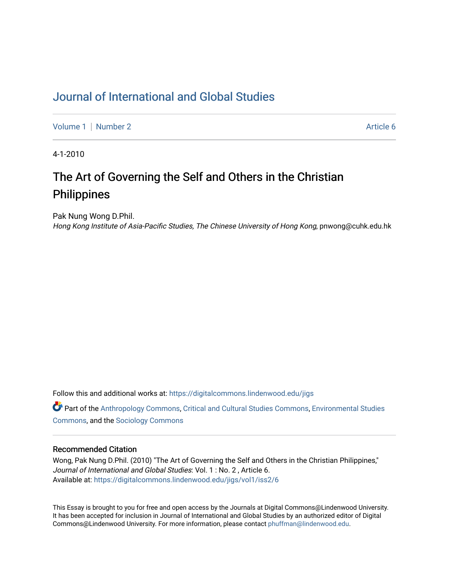## [Journal of International and Global Studies](https://digitalcommons.lindenwood.edu/jigs)

[Volume 1](https://digitalcommons.lindenwood.edu/jigs/vol1) | [Number 2](https://digitalcommons.lindenwood.edu/jigs/vol1/iss2) Article 6

4-1-2010

# The Art of Governing the Self and Others in the Christian **Philippines**

Pak Nung Wong D.Phil.

Hong Kong Institute of Asia-Pacific Studies, The Chinese University of Hong Kong, pnwong@cuhk.edu.hk

Follow this and additional works at: [https://digitalcommons.lindenwood.edu/jigs](https://digitalcommons.lindenwood.edu/jigs?utm_source=digitalcommons.lindenwood.edu%2Fjigs%2Fvol1%2Fiss2%2F6&utm_medium=PDF&utm_campaign=PDFCoverPages) 

**C** Part of the [Anthropology Commons](http://network.bepress.com/hgg/discipline/318?utm_source=digitalcommons.lindenwood.edu%2Fjigs%2Fvol1%2Fiss2%2F6&utm_medium=PDF&utm_campaign=PDFCoverPages), [Critical and Cultural Studies Commons](http://network.bepress.com/hgg/discipline/328?utm_source=digitalcommons.lindenwood.edu%2Fjigs%2Fvol1%2Fiss2%2F6&utm_medium=PDF&utm_campaign=PDFCoverPages), Environmental Studies [Commons](http://network.bepress.com/hgg/discipline/1333?utm_source=digitalcommons.lindenwood.edu%2Fjigs%2Fvol1%2Fiss2%2F6&utm_medium=PDF&utm_campaign=PDFCoverPages), and the [Sociology Commons](http://network.bepress.com/hgg/discipline/416?utm_source=digitalcommons.lindenwood.edu%2Fjigs%2Fvol1%2Fiss2%2F6&utm_medium=PDF&utm_campaign=PDFCoverPages)

#### Recommended Citation

Wong, Pak Nung D.Phil. (2010) "The Art of Governing the Self and Others in the Christian Philippines," Journal of International and Global Studies: Vol. 1 : No. 2, Article 6. Available at: [https://digitalcommons.lindenwood.edu/jigs/vol1/iss2/6](https://digitalcommons.lindenwood.edu/jigs/vol1/iss2/6?utm_source=digitalcommons.lindenwood.edu%2Fjigs%2Fvol1%2Fiss2%2F6&utm_medium=PDF&utm_campaign=PDFCoverPages)

This Essay is brought to you for free and open access by the Journals at Digital Commons@Lindenwood University. It has been accepted for inclusion in Journal of International and Global Studies by an authorized editor of Digital Commons@Lindenwood University. For more information, please contact [phuffman@lindenwood.edu](mailto:phuffman@lindenwood.edu).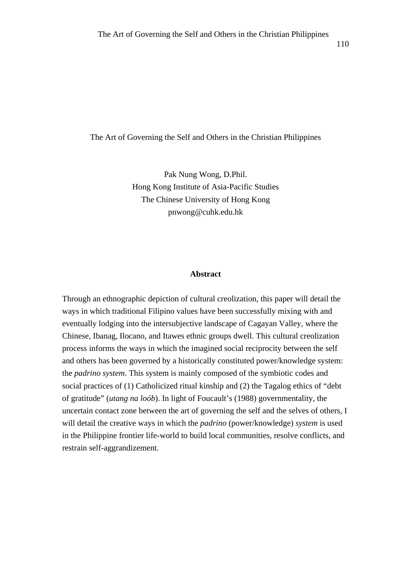The Art of Governing the Self and Others in the Christian Philippines

The Art of Governing the Self and Others in the Christian Philippines

Pak Nung Wong, D.Phil. Hong Kong Institute of Asia-Pacific Studies The Chinese University of Hong Kong pnwong@cuhk.edu.hk

#### **Abstract**

Through an ethnographic depiction of cultural creolization, this paper will detail the ways in which traditional Filipino values have been successfully mixing with and eventually lodging into the intersubjective landscape of Cagayan Valley, where the Chinese, Ibanag, Ilocano, and Itawes ethnic groups dwell. This cultural creolization process informs the ways in which the imagined social reciprocity between the self and others has been governed by a historically constituted power/knowledge system: the *padrino system*. This system is mainly composed of the symbiotic codes and social practices of (1) Catholicized ritual kinship and (2) the Tagalog ethics of "debt of gratitude" (*utang na loób*). In light of Foucault's (1988) governmentality, the uncertain contact zone between the art of governing the self and the selves of others, I will detail the creative ways in which the *padrino* (power/knowledge) *system* is used in the Philippine frontier life-world to build local communities, resolve conflicts, and restrain self-aggrandizement.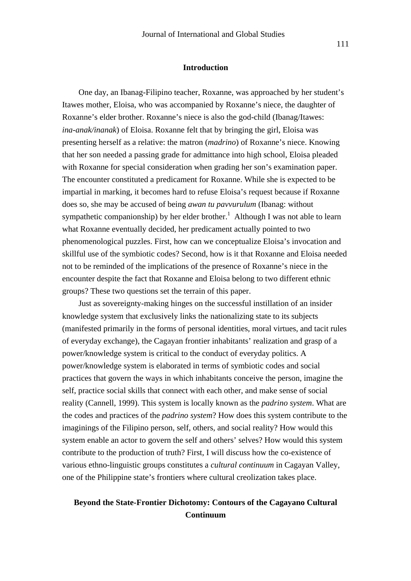#### **Introduction**

One day, an Ibanag-Filipino teacher, Roxanne, was approached by her student's Itawes mother, Eloisa, who was accompanied by Roxanne's niece, the daughter of Roxanne's elder brother. Roxanne's niece is also the god-child (Ibanag/Itawes: *ina-anak/inanak*) of Eloisa. Roxanne felt that by bringing the girl, Eloisa was presenting herself as a relative: the matron (*madrino*) of Roxanne's niece. Knowing that her son needed a passing grade for admittance into high school, Eloisa pleaded with Roxanne for special consideration when grading her son's examination paper. The encounter constituted a predicament for Roxanne. While she is expected to be impartial in marking, it becomes hard to refuse Eloisa's request because if Roxanne does so, she may be accused of being *awan tu pavvurulum* (Ibanag: without sympathetic companionship) by her elder brother.<sup>1</sup> Although I was not able to learn what Roxanne eventually decided, her predicament actually pointed to two phenomenological puzzles. First, how can we conceptualize Eloisa's invocation and skillful use of the symbiotic codes? Second, how is it that Roxanne and Eloisa needed not to be reminded of the implications of the presence of Roxanne's niece in the encounter despite the fact that Roxanne and Eloisa belong to two different ethnic groups? These two questions set the terrain of this paper.

Just as sovereignty-making hinges on the successful instillation of an insider knowledge system that exclusively links the nationalizing state to its subjects (manifested primarily in the forms of personal identities, moral virtues, and tacit rules of everyday exchange), the Cagayan frontier inhabitants' realization and grasp of a power/knowledge system is critical to the conduct of everyday politics. A power/knowledge system is elaborated in terms of symbiotic codes and social practices that govern the ways in which inhabitants conceive the person, imagine the self, practice social skills that connect with each other, and make sense of social reality (Cannell, 1999). This system is locally known as the *padrino system*. What are the codes and practices of the *padrino system*? How does this system contribute to the imaginings of the Filipino person, self, others, and social reality? How would this system enable an actor to govern the self and others' selves? How would this system contribute to the production of truth? First, I will discuss how the co-existence of various ethno-linguistic groups constitutes a *cultural continuum* in Cagayan Valley, one of the Philippine state's frontiers where cultural creolization takes place.

### **Beyond the State-Frontier Dichotomy: Contours of the Cagayano Cultural Continuum**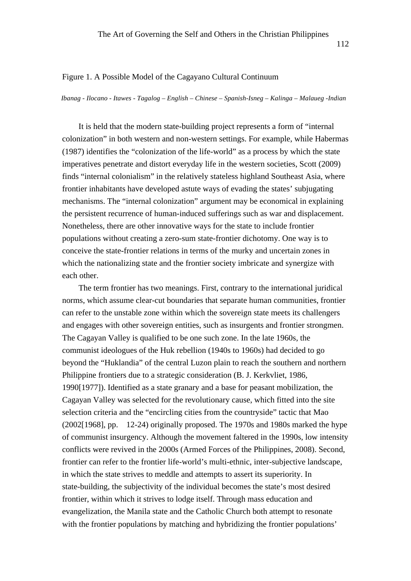#### Figure 1. A Possible Model of the Cagayano Cultural Continuum

*Ibanag - Ilocano - Itawes - Tagalog – English – Chinese – Spanish-Isneg – Kalinga – Malaueg -Indian*

It is held that the modern state-building project represents a form of "internal colonization" in both western and non-western settings. For example, while Habermas (1987) identifies the "colonization of the life-world" as a process by which the state imperatives penetrate and distort everyday life in the western societies, Scott (2009) finds "internal colonialism" in the relatively stateless highland Southeast Asia, where frontier inhabitants have developed astute ways of evading the states' subjugating mechanisms. The "internal colonization" argument may be economical in explaining the persistent recurrence of human-induced sufferings such as war and displacement. Nonetheless, there are other innovative ways for the state to include frontier populations without creating a zero-sum state-frontier dichotomy. One way is to conceive the state-frontier relations in terms of the murky and uncertain zones in which the nationalizing state and the frontier society imbricate and synergize with each other.

The term frontier has two meanings. First, contrary to the international juridical norms, which assume clear-cut boundaries that separate human communities, frontier can refer to the unstable zone within which the sovereign state meets its challengers and engages with other sovereign entities, such as insurgents and frontier strongmen. The Cagayan Valley is qualified to be one such zone. In the late 1960s, the communist ideologues of the Huk rebellion (1940s to 1960s) had decided to go beyond the "Huklandia" of the central Luzon plain to reach the southern and northern Philippine frontiers due to a strategic consideration (B. J. Kerkvliet, 1986, 1990[1977]). Identified as a state granary and a base for peasant mobilization, the Cagayan Valley was selected for the revolutionary cause, which fitted into the site selection criteria and the "encircling cities from the countryside" tactic that Mao (2002[1968], pp. 12-24) originally proposed. The 1970s and 1980s marked the hype of communist insurgency. Although the movement faltered in the 1990s, low intensity conflicts were revived in the 2000s (Armed Forces of the Philippines, 2008). Second, frontier can refer to the frontier life-world's multi-ethnic, inter-subjective landscape, in which the state strives to meddle and attempts to assert its superiority. In state-building, the subjectivity of the individual becomes the state's most desired frontier, within which it strives to lodge itself. Through mass education and evangelization, the Manila state and the Catholic Church both attempt to resonate with the frontier populations by matching and hybridizing the frontier populations'

112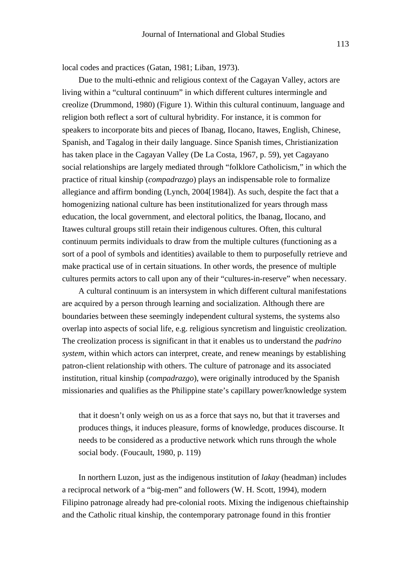local codes and practices (Gatan, 1981; Liban, 1973).

Due to the multi-ethnic and religious context of the Cagayan Valley, actors are living within a "cultural continuum" in which different cultures intermingle and creolize (Drummond, 1980) (Figure 1). Within this cultural continuum, language and religion both reflect a sort of cultural hybridity. For instance, it is common for speakers to incorporate bits and pieces of Ibanag, Ilocano, Itawes, English, Chinese, Spanish, and Tagalog in their daily language. Since Spanish times, Christianization has taken place in the Cagayan Valley (De La Costa, 1967, p. 59), yet Cagayano social relationships are largely mediated through "folklore Catholicism," in which the practice of ritual kinship (*compadrazgo*) plays an indispensable role to formalize allegiance and affirm bonding (Lynch, 2004[1984]). As such, despite the fact that a homogenizing national culture has been institutionalized for years through mass education, the local government, and electoral politics, the Ibanag, Ilocano, and Itawes cultural groups still retain their indigenous cultures. Often, this cultural continuum permits individuals to draw from the multiple cultures (functioning as a sort of a pool of symbols and identities) available to them to purposefully retrieve and make practical use of in certain situations. In other words, the presence of multiple cultures permits actors to call upon any of their "cultures-in-reserve" when necessary.

A cultural continuum is an intersystem in which different cultural manifestations are acquired by a person through learning and socialization. Although there are boundaries between these seemingly independent cultural systems, the systems also overlap into aspects of social life, e.g. religious syncretism and linguistic creolization. The creolization process is significant in that it enables us to understand the *padrino system*, within which actors can interpret, create, and renew meanings by establishing patron-client relationship with others. The culture of patronage and its associated institution, ritual kinship (*compadrazgo*), were originally introduced by the Spanish missionaries and qualifies as the Philippine state's capillary power/knowledge system

that it doesn't only weigh on us as a force that says no, but that it traverses and produces things, it induces pleasure, forms of knowledge, produces discourse. It needs to be considered as a productive network which runs through the whole social body. (Foucault, 1980, p. 119)

In northern Luzon, just as the indigenous institution of *lakay* (headman) includes a reciprocal network of a "big-men" and followers (W. H. Scott, 1994), modern Filipino patronage already had pre-colonial roots. Mixing the indigenous chieftainship and the Catholic ritual kinship, the contemporary patronage found in this frontier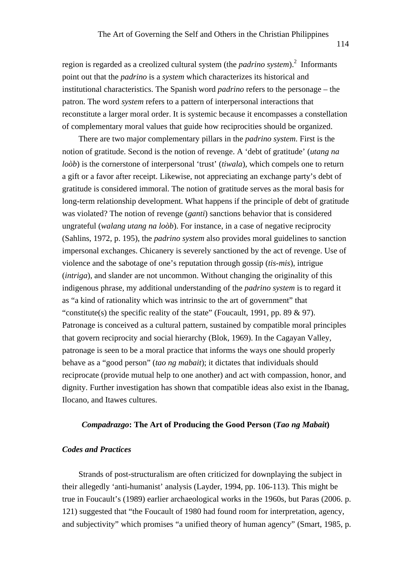region is regarded as a creolized cultural system (the *padrino system*). 2 Informants point out that the *padrino* is a *system* which characterizes its historical and institutional characteristics. The Spanish word *padrino* refers to the personage – the patron. The word *system* refers to a pattern of interpersonal interactions that reconstitute a larger moral order. It is systemic because it encompasses a constellation of complementary moral values that guide how reciprocities should be organized.

There are two major complementary pillars in the *padrino system*. First is the notion of gratitude. Second is the notion of revenge. A 'debt of gratitude' (*utang na loòb*) is the cornerstone of interpersonal 'trust' (*tiwala*), which compels one to return a gift or a favor after receipt. Likewise, not appreciating an exchange party's debt of gratitude is considered immoral. The notion of gratitude serves as the moral basis for long-term relationship development. What happens if the principle of debt of gratitude was violated? The notion of revenge (*ganti*) sanctions behavior that is considered ungrateful (*walang utang na loòb*). For instance, in a case of negative reciprocity (Sahlins, 1972, p. 195), the *padrino system* also provides moral guidelines to sanction impersonal exchanges. Chicanery is severely sanctioned by the act of revenge. Use of violence and the sabotage of one's reputation through gossip (*tis-mis*), intrigue (*intriga*), and slander are not uncommon. Without changing the originality of this indigenous phrase, my additional understanding of the *padrino system* is to regard it as "a kind of rationality which was intrinsic to the art of government" that "constitute(s) the specific reality of the state" (Foucault, 1991, pp. 89  $\&$  97). Patronage is conceived as a cultural pattern, sustained by compatible moral principles that govern reciprocity and social hierarchy (Blok, 1969). In the Cagayan Valley, patronage is seen to be a moral practice that informs the ways one should properly behave as a "good person" (*tao ng mabait*); it dictates that individuals should reciprocate (provide mutual help to one another) and act with compassion, honor, and dignity. Further investigation has shown that compatible ideas also exist in the Ibanag, Ilocano, and Itawes cultures.

#### *Compadrazgo***: The Art of Producing the Good Person (***Tao ng Mabait***)**

#### *Codes and Practices*

Strands of post-structuralism are often criticized for downplaying the subject in their allegedly 'anti-humanist' analysis (Layder, 1994, pp. 106-113). This might be true in Foucault's (1989) earlier archaeological works in the 1960s, but Paras (2006. p. 121) suggested that "the Foucault of 1980 had found room for interpretation, agency, and subjectivity" which promises "a unified theory of human agency" (Smart, 1985, p.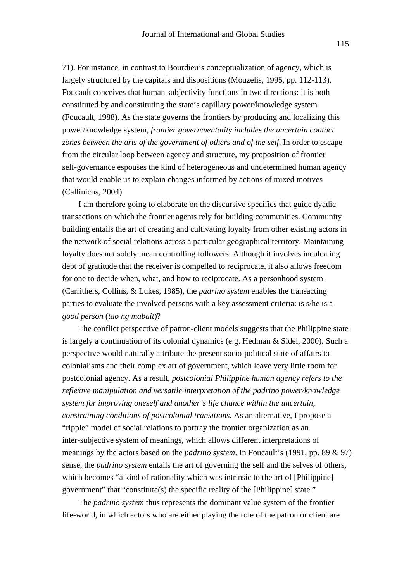71). For instance, in contrast to Bourdieu's conceptualization of agency, which is largely structured by the capitals and dispositions (Mouzelis, 1995, pp. 112-113), Foucault conceives that human subjectivity functions in two directions: it is both constituted by and constituting the state's capillary power/knowledge system (Foucault, 1988). As the state governs the frontiers by producing and localizing this power/knowledge system, *frontier governmentality includes the uncertain contact zones between the arts of the government of others and of the self*. In order to escape from the circular loop between agency and structure, my proposition of frontier self-governance espouses the kind of heterogeneous and undetermined human agency that would enable us to explain changes informed by actions of mixed motives (Callinicos, 2004).

I am therefore going to elaborate on the discursive specifics that guide dyadic transactions on which the frontier agents rely for building communities. Community building entails the art of creating and cultivating loyalty from other existing actors in the network of social relations across a particular geographical territory. Maintaining loyalty does not solely mean controlling followers. Although it involves inculcating debt of gratitude that the receiver is compelled to reciprocate, it also allows freedom for one to decide when, what, and how to reciprocate. As a personhood system (Carrithers, Collins, & Lukes, 1985), the *padrino system* enables the transacting parties to evaluate the involved persons with a key assessment criteria: is s/he is a *good person* (*tao ng mabait*)?

The conflict perspective of patron-client models suggests that the Philippine state is largely a continuation of its colonial dynamics (e.g. Hedman & Sidel, 2000). Such a perspective would naturally attribute the present socio-political state of affairs to colonialisms and their complex art of government, which leave very little room for postcolonial agency. As a result, *postcolonial Philippine human agency refers to the reflexive manipulation and versatile interpretation of the padrino power/knowledge system for improving oneself and another's life chance within the uncertain, constraining conditions of postcolonial transitions.* As an alternative, I propose a "ripple" model of social relations to portray the frontier organization as an inter-subjective system of meanings, which allows different interpretations of meanings by the actors based on the *padrino system*. In Foucault's (1991, pp. 89 & 97) sense, the *padrino system* entails the art of governing the self and the selves of others, which becomes "a kind of rationality which was intrinsic to the art of [Philippine] government" that "constitute(s) the specific reality of the [Philippine] state."

The *padrino system* thus represents the dominant value system of the frontier life-world, in which actors who are either playing the role of the patron or client are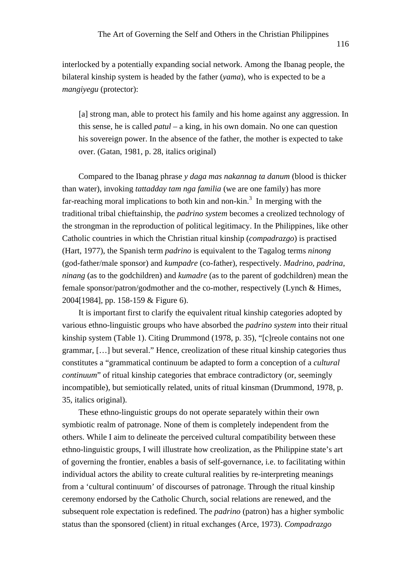interlocked by a potentially expanding social network. Among the Ibanag people, the bilateral kinship system is headed by the father (*yama*), who is expected to be a *mangiyegu* (protector):

[a] strong man, able to protect his family and his home against any aggression. In this sense, he is called *patul* – a king, in his own domain. No one can question his sovereign power. In the absence of the father, the mother is expected to take over. (Gatan, 1981, p. 28, italics original)

Compared to the Ibanag phrase *y daga mas nakannag ta danum* (blood is thicker than water), invoking *tattadday tam nga familia* (we are one family) has more far-reaching moral implications to both kin and non-kin.<sup>3</sup> In merging with the traditional tribal chieftainship, the *padrino system* becomes a creolized technology of the strongman in the reproduction of political legitimacy. In the Philippines, like other Catholic countries in which the Christian ritual kinship (*compadrazgo*) is practised (Hart, 1977), the Spanish term *padrino* is equivalent to the Tagalog terms *ninong* (god-father/male sponsor) and *kumpadre* (co-father), respectively. *Madrino*, *padrina*, *ninang* (as to the godchildren) and *kumadre* (as to the parent of godchildren) mean the female sponsor/patron/godmother and the co-mother, respectively (Lynch & Himes, 2004[1984], pp. 158-159 & Figure 6).

It is important first to clarify the equivalent ritual kinship categories adopted by various ethno-linguistic groups who have absorbed the *padrino system* into their ritual kinship system (Table 1). Citing Drummond (1978, p. 35), "[c]reole contains not one grammar, […] but several." Hence, creolization of these ritual kinship categories thus constitutes a "grammatical continuum be adapted to form a conception of a *cultural continuum*" of ritual kinship categories that embrace contradictory (or, seemingly incompatible), but semiotically related, units of ritual kinsman (Drummond, 1978, p. 35, italics original).

These ethno-linguistic groups do not operate separately within their own symbiotic realm of patronage. None of them is completely independent from the others. While I aim to delineate the perceived cultural compatibility between these ethno-linguistic groups, I will illustrate how creolization, as the Philippine state's art of governing the frontier, enables a basis of self-governance, i.e. to facilitating within individual actors the ability to create cultural realities by re-interpreting meanings from a 'cultural continuum' of discourses of patronage. Through the ritual kinship ceremony endorsed by the Catholic Church, social relations are renewed, and the subsequent role expectation is redefined. The *padrino* (patron) has a higher symbolic status than the sponsored (client) in ritual exchanges (Arce, 1973). *Compadrazgo*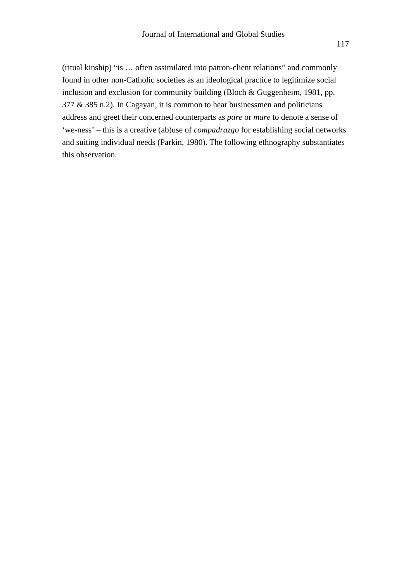(ritual kinship) "is … often assimilated into patron-client relations" and commonly found in other non-Catholic societies as an ideological practice to legitimize social inclusion and exclusion for community building (Bloch & Guggenheim, 1981, pp. 377 & 385 n.2). In Cagayan, it is common to hear businessmen and politicians address and greet their concerned counterparts as *pare* or *mare* to denote a sense of 'we-ness' – this is a creative (ab)use of *compadrazgo* for establishing social networks and suiting individual needs (Parkin, 1980). The following ethnography substantiates this observation.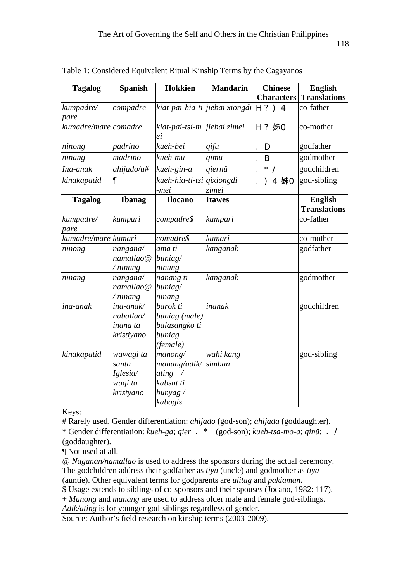| <b>Tagalog</b>       | <b>Spanish</b>                                         | <b>Hokkien</b>                                                              | <b>Mandarin</b>     | <b>Chinese</b><br><b>Characters</b> | <b>English</b><br><b>Translations</b> |
|----------------------|--------------------------------------------------------|-----------------------------------------------------------------------------|---------------------|-------------------------------------|---------------------------------------|
| kumpadre/<br>pare    | compadre                                               | kiat-pai-hia-ti jiebai xiongdi                                              |                     |                                     | co-father                             |
| kumadre/mare comadre |                                                        | kiat-pai-tsi-m   jiebai zimei<br>еi                                         |                     | 姊                                   | co-mother                             |
| ninong               | padrino                                                | kueh-bei                                                                    | qifu                |                                     | godfather                             |
| ninang               | madrino                                                | kueh-mu                                                                     | qimu                |                                     | godmother                             |
| Ina-anak             | ahijado/a#                                             | kueh-gin-a                                                                  | qiernü              | $\star$                             | godchildren                           |
| kinakapatid          | $\P$                                                   | kueh-hia-ti-tsi<br>-mei                                                     | qixiongdi<br>zimei  | 姊                                   | god-sibling                           |
| <b>Tagalog</b>       | <b>Ibanag</b>                                          | <b>Ilocano</b>                                                              | <b>Itawes</b>       |                                     | <b>English</b><br><b>Translations</b> |
| kumpadre/<br>pare    | kumpari                                                | compadre\$                                                                  | kumpari             |                                     | co-father                             |
| kumadre/mare kumari  |                                                        | comadre\$                                                                   | kumari              |                                     | co-mother                             |
| ninong               | nangana/<br>namallao@<br>'ninung                       | ama ti<br>buniag/<br>ninung                                                 | kanganak            |                                     | godfather                             |
| ninang               | nangana/<br>namallao@<br>ninang                        | nanang ti<br>buniag/<br>ninang                                              | kanganak            |                                     | godmother                             |
| ina-anak             | ina-anak/<br>naballao/<br>inana ta<br>kristiyano       | barok ti<br>buniag (male)<br>balasangko ti<br>buniag<br>(female)            | inanak              |                                     | godchildren                           |
| kinakapatid          | wawagi ta<br>santa<br>Iglesia/<br>wagi ta<br>kristyano | manong/<br>manang/adik/<br>$ating+$ /<br>kabsat ti<br>$bunyag$ /<br>kabagis | wahi kang<br>simban |                                     | god-sibling                           |

Table 1: Considered Equivalent Ritual Kinship Terms by the Cagayanos

Keys:

# Rarely used. Gender differentiation: *ahijado* (god-son); *ahijada* (goddaughter).

\* Gender differentiation: *kueh-ga*; *qier* (god-son); *kueh-tsa-mo-a*; *qinü*;

(goddaughter).

¶ Not used at all.

@ *Naganan/namallao* is used to address the sponsors during the actual ceremony. The godchildren address their godfather as *tiyu* (uncle) and godmother as *tiya*  (auntie). Other equivalent terms for godparents are *ulitag* and *pakiaman*.

\$ Usage extends to siblings of co-sponsors and their spouses (Jocano, 1982: 117).

+ *Manong* and *manang* are used to address older male and female god-siblings.

*Adik/ating* is for younger god-siblings regardless of gender.

Source: Author's field research on kinship terms (2003-2009).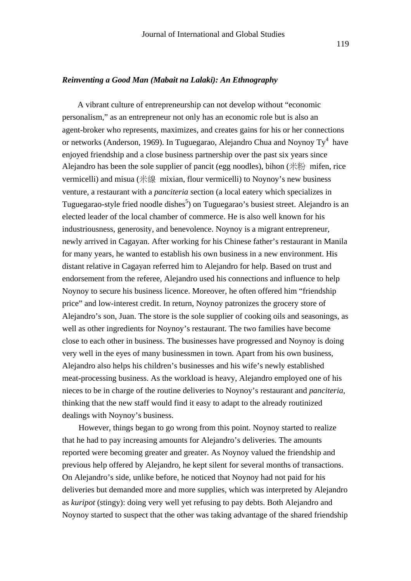#### *Reinventing a Good Man (Mabait na Lalaki): An Ethnography*

A vibrant culture of entrepreneurship can not develop without "economic personalism," as an entrepreneur not only has an economic role but is also an agent-broker who represents, maximizes, and creates gains for his or her connections or networks (Anderson, 1969). In Tuguegarao, Alejandro Chua and Noynoy Ty<sup>4</sup> have enjoyed friendship and a close business partnership over the past six years since Alejandro has been the sole supplier of pancit (egg noodles), bihon  $(\#\%)$  mifen, rice vermicelli) and misua (米線 mixian, flour vermicelli) to Noynoy's new business venture, a restaurant with a *panciteria* section (a local eatery which specializes in Tuguegarao-style fried noodle dishes<sup>5</sup>) on Tuguegarao's busiest street. Alejandro is an elected leader of the local chamber of commerce. He is also well known for his industriousness, generosity, and benevolence. Noynoy is a migrant entrepreneur, newly arrived in Cagayan. After working for his Chinese father's restaurant in Manila for many years, he wanted to establish his own business in a new environment. His distant relative in Cagayan referred him to Alejandro for help. Based on trust and endorsement from the referee, Alejandro used his connections and influence to help Noynoy to secure his business licence. Moreover, he often offered him "friendship price" and low-interest credit. In return, Noynoy patronizes the grocery store of Alejandro's son, Juan. The store is the sole supplier of cooking oils and seasonings, as well as other ingredients for Noynoy's restaurant. The two families have become close to each other in business. The businesses have progressed and Noynoy is doing very well in the eyes of many businessmen in town. Apart from his own business, Alejandro also helps his children's businesses and his wife's newly established meat-processing business. As the workload is heavy, Alejandro employed one of his nieces to be in charge of the routine deliveries to Noynoy's restaurant and *panciteria*, thinking that the new staff would find it easy to adapt to the already routinized dealings with Noynoy's business.

However, things began to go wrong from this point. Noynoy started to realize that he had to pay increasing amounts for Alejandro's deliveries. The amounts reported were becoming greater and greater. As Noynoy valued the friendship and previous help offered by Alejandro, he kept silent for several months of transactions. On Alejandro's side, unlike before, he noticed that Noynoy had not paid for his deliveries but demanded more and more supplies, which was interpreted by Alejandro as *kuripot* (stingy): doing very well yet refusing to pay debts. Both Alejandro and Noynoy started to suspect that the other was taking advantage of the shared friendship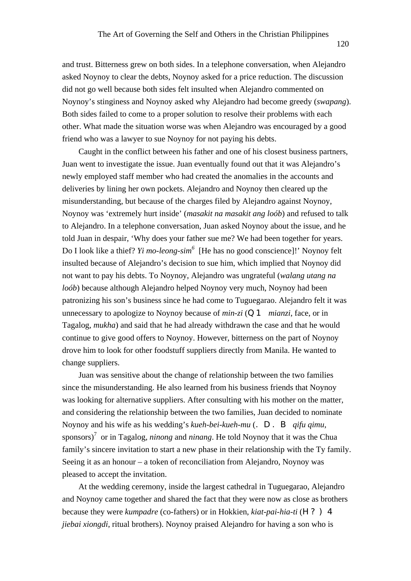and trust. Bitterness grew on both sides. In a telephone conversation, when Alejandro asked Noynoy to clear the debts, Noynoy asked for a price reduction. The discussion did not go well because both sides felt insulted when Alejandro commented on Noynoy's stinginess and Noynoy asked why Alejandro had become greedy (*swapang*). Both sides failed to come to a proper solution to resolve their problems with each other. What made the situation worse was when Alejandro was encouraged by a good friend who was a lawyer to sue Noynoy for not paying his debts.

Caught in the conflict between his father and one of his closest business partners, Juan went to investigate the issue. Juan eventually found out that it was Alejandro's newly employed staff member who had created the anomalies in the accounts and deliveries by lining her own pockets. Alejandro and Noynoy then cleared up the misunderstanding, but because of the charges filed by Alejandro against Noynoy, Noynoy was 'extremely hurt inside' (*masakit na masakit ang loób*) and refused to talk to Alejandro. In a telephone conversation, Juan asked Noynoy about the issue, and he told Juan in despair, 'Why does your father sue me? We had been together for years. Do I look like a thief? *Yi mo-leong-sim<sup>6</sup>* [He has no good conscience]!' Noynoy felt insulted because of Alejandro's decision to sue him, which implied that Noynoy did not want to pay his debts. To Noynoy, Alejandro was ungrateful (*walang utang na loób*) because although Alejandro helped Noynoy very much, Noynoy had been patronizing his son's business since he had come to Tuguegarao. Alejandro felt it was unnecessary to apologize to Noynoy because of *min-zi* (*mianzi*, face, or in Tagalog, *mukha*) and said that he had already withdrawn the case and that he would continue to give good offers to Noynoy. However, bitterness on the part of Noynoy drove him to look for other foodstuff suppliers directly from Manila. He wanted to change suppliers.

Juan was sensitive about the change of relationship between the two families since the misunderstanding. He also learned from his business friends that Noynoy was looking for alternative suppliers. After consulting with his mother on the matter, and considering the relationship between the two families, Juan decided to nominate Noynoy and his wife as his wedding's *kueh-bei-kueh-mu* (qifu qimu, sponsors)<sup>7</sup> or in Tagalog, *ninong* and *ninang*. He told Noynoy that it was the Chua family's sincere invitation to start a new phase in their relationship with the Ty family. Seeing it as an honour – a token of reconciliation from Alejandro, Noynoy was pleased to accept the invitation.

At the wedding ceremony, inside the largest cathedral in Tuguegarao, Alejandro and Noynoy came together and shared the fact that they were now as close as brothers because they were *kumpadre* (co-fathers) or in Hokkien, *kiat-pai-hia-ti* ( *jiebai xiongdi*, ritual brothers). Noynoy praised Alejandro for having a son who is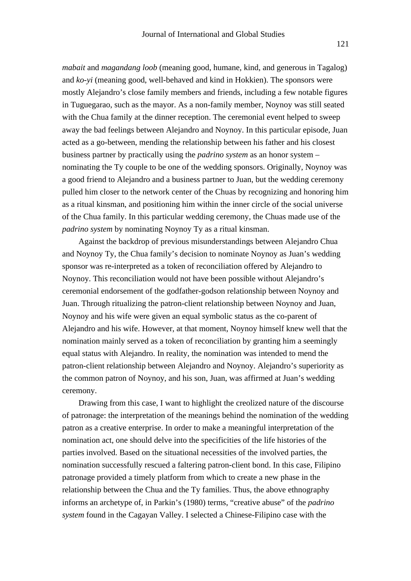*mabait* and *magandang loob* (meaning good, humane, kind, and generous in Tagalog) and *ko-yi* (meaning good, well-behaved and kind in Hokkien). The sponsors were mostly Alejandro's close family members and friends, including a few notable figures in Tuguegarao, such as the mayor. As a non-family member, Noynoy was still seated with the Chua family at the dinner reception. The ceremonial event helped to sweep away the bad feelings between Alejandro and Noynoy. In this particular episode, Juan acted as a go-between, mending the relationship between his father and his closest business partner by practically using the *padrino system* as an honor system – nominating the Ty couple to be one of the wedding sponsors. Originally, Noynoy was a good friend to Alejandro and a business partner to Juan, but the wedding ceremony pulled him closer to the network center of the Chuas by recognizing and honoring him as a ritual kinsman, and positioning him within the inner circle of the social universe of the Chua family. In this particular wedding ceremony, the Chuas made use of the *padrino system* by nominating Noynoy Ty as a ritual kinsman.

Against the backdrop of previous misunderstandings between Alejandro Chua and Noynoy Ty, the Chua family's decision to nominate Noynoy as Juan's wedding sponsor was re-interpreted as a token of reconciliation offered by Alejandro to Noynoy. This reconciliation would not have been possible without Alejandro's ceremonial endorsement of the godfather-godson relationship between Noynoy and Juan. Through ritualizing the patron-client relationship between Noynoy and Juan, Noynoy and his wife were given an equal symbolic status as the co-parent of Alejandro and his wife. However, at that moment, Noynoy himself knew well that the nomination mainly served as a token of reconciliation by granting him a seemingly equal status with Alejandro. In reality, the nomination was intended to mend the patron-client relationship between Alejandro and Noynoy. Alejandro's superiority as the common patron of Noynoy, and his son, Juan, was affirmed at Juan's wedding ceremony.

Drawing from this case, I want to highlight the creolized nature of the discourse of patronage: the interpretation of the meanings behind the nomination of the wedding patron as a creative enterprise. In order to make a meaningful interpretation of the nomination act, one should delve into the specificities of the life histories of the parties involved. Based on the situational necessities of the involved parties, the nomination successfully rescued a faltering patron-client bond. In this case, Filipino patronage provided a timely platform from which to create a new phase in the relationship between the Chua and the Ty families. Thus, the above ethnography informs an archetype of, in Parkin's (1980) terms, "creative abuse" of the *padrino system* found in the Cagayan Valley. I selected a Chinese-Filipino case with the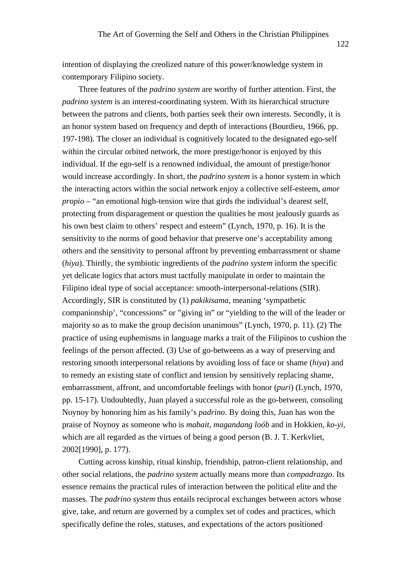intention of displaying the creolized nature of this power/knowledge system in contemporary Filipino society.

Three features of the *padrino system* are worthy of further attention. First, the *padrino system* is an interest-coordinating system. With its hierarchical structure between the patrons and clients, both parties seek their own interests. Secondly, it is an honor system based on frequency and depth of interactions (Bourdieu, 1966, pp. 197-198). The closer an individual is cognitively located to the designated ego-self within the circular orbited network, the more prestige/honor is enjoyed by this individual. If the ego-self is a renowned individual, the amount of prestige/honor would increase accordingly. In short, the *padrino system* is a honor system in which the interacting actors within the social network enjoy a collective self-esteem, *amor propio* – "an emotional high-tension wire that girds the individual's dearest self, protecting from disparagement or question the qualities he most jealously guards as his own best claim to others' respect and esteem" (Lynch, 1970, p. 16). It is the sensitivity to the norms of good behavior that preserve one's acceptability among others and the sensitivity to personal affront by preventing embarrassment or shame (*hiya*). Thirdly, the symbiotic ingredients of the *padrino system* inform the specific yet delicate logics that actors must tactfully manipulate in order to maintain the Filipino ideal type of social acceptance: smooth-interpersonal-relations (SIR). Accordingly, SIR is constituted by (1) *pakikisama*, meaning 'sympathetic companionship', "concessions" or "giving in" or "yielding to the will of the leader or majority so as to make the group decision unanimous" (Lynch, 1970, p. 11). (2) The practice of using euphemisms in language marks a trait of the Filipinos to cushion the feelings of the person affected. (3) Use of go-betweens as a way of preserving and restoring smooth interpersonal relations by avoiding loss of face or shame (*hiya*) and to remedy an existing state of conflict and tension by sensitively replacing shame, embarrassment, affront, and uncomfortable feelings with honor (*puri*) (Lynch, 1970, pp. 15-17). Undoubtedly, Juan played a successful role as the go-between, consoling Noynoy by honoring him as his family's *padrino*. By doing this, Juan has won the praise of Noynoy as someone who is *mabait*, *magandang loób* and in Hokkien, *ko-yi*, which are all regarded as the virtues of being a good person (B. J. T. Kerkvliet, 2002[1990], p. 177).

Cutting across kinship, ritual kinship, friendship, patron-client relationship, and other social relations, the *padrino system* actually means more than *compadrazgo*. Its essence remains the practical rules of interaction between the political elite and the masses. The *padrino system* thus entails reciprocal exchanges between actors whose give, take, and return are governed by a complex set of codes and practices, which specifically define the roles, statuses, and expectations of the actors positioned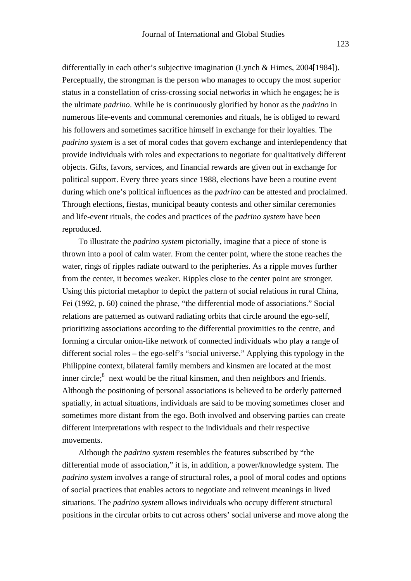differentially in each other's subjective imagination (Lynch & Himes, 2004[1984]). Perceptually, the strongman is the person who manages to occupy the most superior status in a constellation of criss-crossing social networks in which he engages; he is the ultimate *padrino*. While he is continuously glorified by honor as the *padrino* in numerous life-events and communal ceremonies and rituals, he is obliged to reward his followers and sometimes sacrifice himself in exchange for their loyalties. The *padrino system* is a set of moral codes that govern exchange and interdependency that provide individuals with roles and expectations to negotiate for qualitatively different objects. Gifts, favors, services, and financial rewards are given out in exchange for political support. Every three years since 1988, elections have been a routine event during which one's political influences as the *padrino* can be attested and proclaimed. Through elections, fiestas, municipal beauty contests and other similar ceremonies and life-event rituals, the codes and practices of the *padrino system* have been reproduced.

To illustrate the *padrino system* pictorially, imagine that a piece of stone is thrown into a pool of calm water. From the center point, where the stone reaches the water, rings of ripples radiate outward to the peripheries. As a ripple moves further from the center, it becomes weaker. Ripples close to the center point are stronger. Using this pictorial metaphor to depict the pattern of social relations in rural China, Fei (1992, p. 60) coined the phrase, "the differential mode of associations." Social relations are patterned as outward radiating orbits that circle around the ego-self, prioritizing associations according to the differential proximities to the centre, and forming a circular onion-like network of connected individuals who play a range of different social roles – the ego-self's "social universe." Applying this typology in the Philippine context, bilateral family members and kinsmen are located at the most inner circle;<sup>8</sup> next would be the ritual kinsmen, and then neighbors and friends. Although the positioning of personal associations is believed to be orderly patterned spatially, in actual situations, individuals are said to be moving sometimes closer and sometimes more distant from the ego. Both involved and observing parties can create different interpretations with respect to the individuals and their respective movements.

Although the *padrino system* resembles the features subscribed by "the differential mode of association," it is, in addition, a power/knowledge system. The *padrino system* involves a range of structural roles, a pool of moral codes and options of social practices that enables actors to negotiate and reinvent meanings in lived situations. The *padrino system* allows individuals who occupy different structural positions in the circular orbits to cut across others' social universe and move along the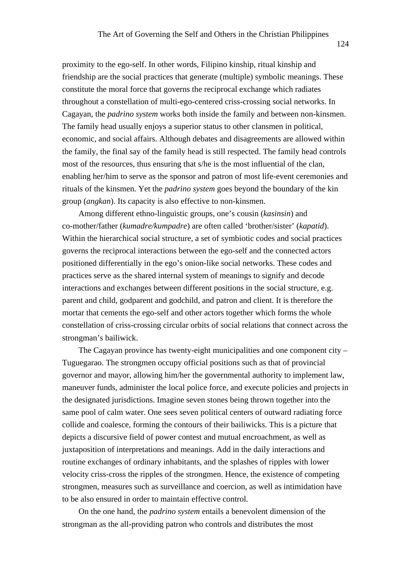proximity to the ego-self. In other words, Filipino kinship, ritual kinship and friendship are the social practices that generate (multiple) symbolic meanings. These constitute the moral force that governs the reciprocal exchange which radiates throughout a constellation of multi-ego-centered criss-crossing social networks. In Cagayan, the *padrino system* works both inside the family and between non-kinsmen. The family head usually enjoys a superior status to other clansmen in political, economic, and social affairs. Although debates and disagreements are allowed within the family, the final say of the family head is still respected. The family head controls most of the resources, thus ensuring that s/he is the most influential of the clan, enabling her/him to serve as the sponsor and patron of most life-event ceremonies and rituals of the kinsmen. Yet the *padrino system* goes beyond the boundary of the kin group (*angkan*). Its capacity is also effective to non-kinsmen.

Among different ethno-linguistic groups, one's cousin (*kasinsin*) and co-mother/father (*kumadre/kumpadre*) are often called 'brother/sister' (*kapatid*). Within the hierarchical social structure, a set of symbiotic codes and social practices governs the reciprocal interactions between the ego-self and the connected actors positioned differentially in the ego's onion-like social networks. These codes and practices serve as the shared internal system of meanings to signify and decode interactions and exchanges between different positions in the social structure, e.g. parent and child, godparent and godchild, and patron and client. It is therefore the mortar that cements the ego-self and other actors together which forms the whole constellation of criss-crossing circular orbits of social relations that connect across the strongman's bailiwick.

The Cagayan province has twenty-eight municipalities and one component city – Tuguegarao. The strongmen occupy official positions such as that of provincial governor and mayor, allowing him/her the governmental authority to implement law, maneuver funds, administer the local police force, and execute policies and projects in the designated jurisdictions. Imagine seven stones being thrown together into the same pool of calm water. One sees seven political centers of outward radiating force collide and coalesce, forming the contours of their bailiwicks. This is a picture that depicts a discursive field of power contest and mutual encroachment, as well as juxtaposition of interpretations and meanings. Add in the daily interactions and routine exchanges of ordinary inhabitants, and the splashes of ripples with lower velocity criss-cross the ripples of the strongmen. Hence, the existence of competing strongmen, measures such as surveillance and coercion, as well as intimidation have to be also ensured in order to maintain effective control.

On the one hand, the *padrino system* entails a benevolent dimension of the strongman as the all-providing patron who controls and distributes the most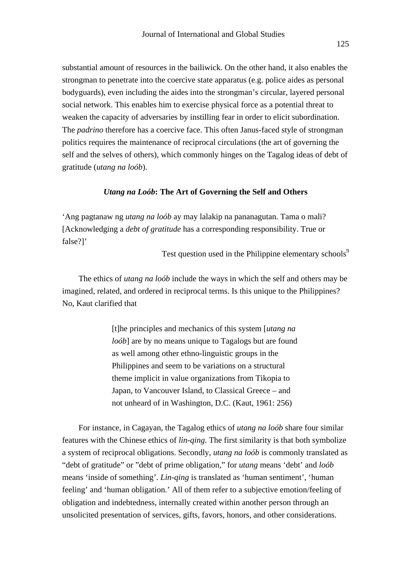substantial amount of resources in the bailiwick. On the other hand, it also enables the strongman to penetrate into the coercive state apparatus (e.g. police aides as personal bodyguards), even including the aides into the strongman's circular, layered personal social network. This enables him to exercise physical force as a potential threat to weaken the capacity of adversaries by instilling fear in order to elicit subordination. The *padrino* therefore has a coercive face. This often Janus-faced style of strongman politics requires the maintenance of reciprocal circulations (the art of governing the self and the selves of others), which commonly hinges on the Tagalog ideas of debt of gratitude (*utang na loób*).

#### *Utang na Loób***: The Art of Governing the Self and Others**

'Ang pagtanaw ng *utang na loób* ay may lalakip na pananagutan. Tama o mali? [Acknowledging a *debt of gratitude* has a corresponding responsibility. True or false?]'

Test question used in the Philippine elementary schools<sup>9</sup>

The ethics of *utang na loób* include the ways in which the self and others may be imagined, related, and ordered in reciprocal terms. Is this unique to the Philippines? No, Kaut clarified that

> [t]he principles and mechanics of this system [*utang na loób*] are by no means unique to Tagalogs but are found as well among other ethno-linguistic groups in the Philippines and seem to be variations on a structural theme implicit in value organizations from Tikopia to Japan, to Vancouver Island, to Classical Greece – and not unheard of in Washington, D.C. (Kaut, 1961: 256)

For instance, in Cagayan, the Tagalog ethics of *utang na loób* share four similar features with the Chinese ethics of *lin-qing*. The first similarity is that both symbolize a system of reciprocal obligations. Secondly, *utang na loób* is commonly translated as "debt of gratitude" or "debt of prime obligation," for *utang* means 'debt' and *loób* means 'inside of something'. *Lin-qing* is translated as 'human sentiment', 'human feeling' and 'human obligation.' All of them refer to a subjective emotion/feeling of obligation and indebtedness, internally created within another person through an unsolicited presentation of services, gifts, favors, honors, and other considerations.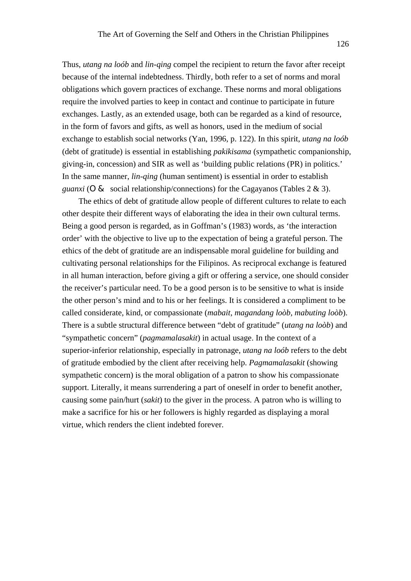Thus, *utang na loób* and *lin-qing* compel the recipient to return the favor after receipt because of the internal indebtedness. Thirdly, both refer to a set of norms and moral obligations which govern practices of exchange. These norms and moral obligations require the involved parties to keep in contact and continue to participate in future exchanges. Lastly, as an extended usage, both can be regarded as a kind of resource, in the form of favors and gifts, as well as honors, used in the medium of social exchange to establish social networks (Yan, 1996, p. 122). In this spirit, *utang na loób*  (debt of gratitude) is essential in establishing *pakikisama* (sympathetic companionship, giving-in, concession) and SIR as well as 'building public relations (PR) in politics.' In the same manner, *lin-qing* (human sentiment) is essential in order to establish *guanxi* (social relationship/connections) for the Cagayanos (Tables  $2 \& 3$ ).

The ethics of debt of gratitude allow people of different cultures to relate to each other despite their different ways of elaborating the idea in their own cultural terms. Being a good person is regarded, as in Goffman's (1983) words, as 'the interaction order' with the objective to live up to the expectation of being a grateful person. The ethics of the debt of gratitude are an indispensable moral guideline for building and cultivating personal relationships for the Filipinos. As reciprocal exchange is featured in all human interaction, before giving a gift or offering a service, one should consider the receiver's particular need. To be a good person is to be sensitive to what is inside the other person's mind and to his or her feelings. It is considered a compliment to be called considerate, kind, or compassionate (*mabait, magandang loòb, mabuting loòb*). There is a subtle structural difference between "debt of gratitude" (*utang na loòb*) and "sympathetic concern" (*pagmamalasakit*) in actual usage. In the context of a superior-inferior relationship, especially in patronage, *utang na loób* refers to the debt of gratitude embodied by the client after receiving help. *Pagmamalasakit* (showing sympathetic concern) is the moral obligation of a patron to show his compassionate support. Literally, it means surrendering a part of oneself in order to benefit another, causing some pain/hurt (*sakit*) to the giver in the process. A patron who is willing to make a sacrifice for his or her followers is highly regarded as displaying a moral virtue, which renders the client indebted forever.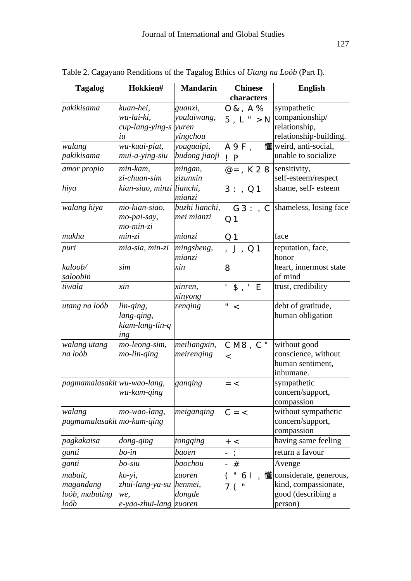| <b>Tagalog</b>                       | Hokkien#                  | <b>Mandarin</b>   | <b>Chinese</b> | <b>English</b>                                   |
|--------------------------------------|---------------------------|-------------------|----------------|--------------------------------------------------|
|                                      |                           |                   | characters     |                                                  |
| pakikisama                           | kuan-hei,                 | guanxi,           |                | sympathetic                                      |
|                                      | wu-lai-ki,                | youlaiwang,       |                | companionship/                                   |
|                                      | cup-lang-ying-s           | yuren             |                | relationship,                                    |
|                                      | iи                        | yingchou          |                | relationship-building.                           |
| walang                               | wu-kuai-piat,             | youguaipi,        |                | 懂weird, anti-social,                             |
| pakikisama                           | mui-a-ying-siu            | budong jiaoji     |                | unable to socialize                              |
| amor propio                          | min-kam,                  | mingan,           |                | sensitivity,                                     |
|                                      | zi-chuan-sim              | zizunxin          |                | self-esteem/respect                              |
| hiya                                 | kian-siao, minzi lianchi, |                   |                | shame, self-esteem                               |
|                                      |                           | mianzi            |                |                                                  |
| walang hiya                          | mo-kian-siao,             | buzhi lianchi,    |                | shameless, losing face                           |
|                                      | mo-pai-say,               | mei mianzi        |                |                                                  |
| mukha                                | mo-min-zi                 |                   |                | face                                             |
|                                      | $min-zi$                  | mianzi            |                |                                                  |
| puri                                 | mia-sia, min-zi           | mingsheng,        |                | reputation, face,<br>honor                       |
| kaloob/                              | sim                       | mianzi            |                |                                                  |
| saloobin                             |                           | xin               |                | heart, innermost state<br>of mind                |
| tiwala                               | xin                       | xinren,           |                | trust, credibility                               |
|                                      |                           | xinyong           |                |                                                  |
| utang na loób                        | $lin\text{-}ging,$        | renging           |                | debt of gratitude,                               |
|                                      | lang-qing,                |                   |                | human obligation                                 |
|                                      | kiam-lang-lin-q           |                   |                |                                                  |
|                                      | ing                       |                   |                |                                                  |
| walang utang                         | mo-leong-sim,             | meiliangxin,      |                | without good                                     |
| na loòb                              | mo-lin-ging               | meirenging        |                | conscience, without                              |
|                                      |                           |                   |                | human sentiment,                                 |
|                                      |                           |                   |                | inhumane.                                        |
| pagmamalasakit wu-wao-lang,          |                           | ganqing           |                | sympathetic                                      |
|                                      | wu-kam-qing               |                   |                | concern/support,                                 |
|                                      |                           |                   |                | compassion                                       |
| walang<br>pagmamalasakit mo-kam-qing | mo-wao-lang,              | meiganqing        |                | without sympathetic<br>concern/support,          |
|                                      |                           |                   |                | compassion                                       |
| pagkakaisa                           | dong-qing                 | tongqing          |                | having same feeling                              |
| ganti                                | bo-in                     | baoen             |                | return a favour                                  |
|                                      | bo-siu                    | baochou           |                |                                                  |
| ganti                                |                           |                   |                | Avenge                                           |
| mabait,<br>magandang                 | ko-yi,<br>zhui-lang-ya-su | zuoren<br>henmei, |                | 懂 considerate, generous,<br>kind, compassionate, |
| loób, mabuting                       | we,                       | dongde            |                | good (describing a                               |
| loób                                 | e-yao-zhui-lang zuoren    |                   |                | person)                                          |
|                                      |                           |                   |                |                                                  |

Table 2. Cagayano Renditions of the Tagalog Ethics of *Utang na Loób* (Part I).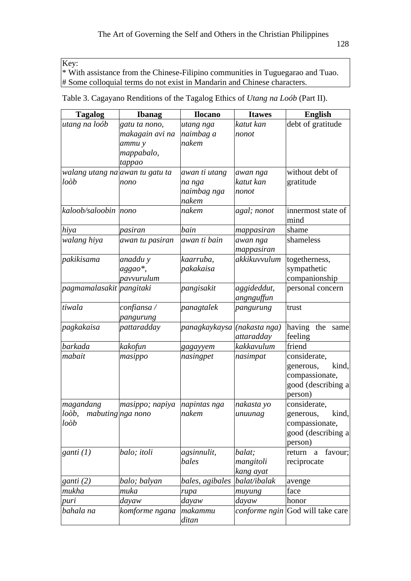Key:

\* With assistance from the Chinese-Filipino communities in Tuguegarao and Tuao. # Some colloquial terms do not exist in Mandarin and Chinese characters.

|  | Table 3. Cagayano Renditions of the Tagalog Ethics of <i>Utang na Loób</i> (Part II). |  |  |  |
|--|---------------------------------------------------------------------------------------|--|--|--|
|  |                                                                                       |  |  |  |
|  |                                                                                       |  |  |  |
|  |                                                                                       |  |  |  |

| <b>Tagalog</b>                        | <b>Ibanag</b>   | <b>Ilocano</b>               | <b>Itawes</b>          | <b>English</b>                          |
|---------------------------------------|-----------------|------------------------------|------------------------|-----------------------------------------|
| utang na loób                         | gatu ta nono,   | utang nga                    | katut kan              | debt of gratitude                       |
|                                       | makagain avi na | naimbag a                    | nonot                  |                                         |
|                                       | ammu y          | nakem                        |                        |                                         |
|                                       | mappabalo,      |                              |                        |                                         |
|                                       | tappao          |                              |                        |                                         |
| walang utang na awan tu gatu ta       |                 | awan ti utang                | awan nga               | without debt of                         |
| loòb                                  | nono            | na nga                       | katut kan              | gratitude                               |
|                                       |                 | naimbag nga                  | nonot                  |                                         |
|                                       |                 | nakem                        |                        |                                         |
| kaloob/saloobin nono                  |                 | nakem                        | agal; nonot            | innermost state of                      |
|                                       |                 |                              |                        | mind                                    |
| hiya                                  | pasiran         | bain                         | mappasiran             | shame                                   |
| walang hiya                           | awan tu pasiran | awan ti bain                 | awan nga<br>mappasiran | shameless                               |
| pakikisama                            | anaddu y        | kaarruba,                    | akkikuvvulum           | togetherness,                           |
|                                       | aggao*,         | pakakaisa                    |                        | sympathetic                             |
|                                       | pavvurulum      |                              |                        | companionship                           |
| pagmamalasakit pangitaki              |                 | pangisakit                   | aggideddut,            | personal concern                        |
|                                       |                 |                              | angnguffun             |                                         |
| tiwala                                | confiansa /     | panagtalek                   | pangurung              | trust                                   |
|                                       | pangurung       |                              |                        |                                         |
| pagkakaisa                            | pattaradday     | panagkaykaysa ((nakasta nga) |                        | having<br>the<br>same                   |
|                                       |                 |                              | attaradday             | feeling                                 |
| barkada                               | kakofun         | gagayyem                     | kakkavulum             | friend                                  |
| mabait                                | masippo         | nasingpet                    | nasimpat               | considerate,                            |
|                                       |                 |                              |                        | generous,<br>kind,                      |
|                                       |                 |                              |                        | compassionate,                          |
|                                       |                 |                              |                        | good (describing a                      |
|                                       |                 |                              |                        | person)                                 |
| magandang                             | masippo; napiya | napintas nga                 | nakasta yo             | considerate,                            |
| mabuting nga nono<br>$lo\grave{o}b$ , |                 | nakem                        | unuunag                | kind,<br>generous,                      |
| $lo\grave{o}b$                        |                 |                              |                        | compassionate,                          |
|                                       |                 |                              |                        | good (describing a                      |
|                                       |                 |                              |                        | person)                                 |
| ganti $(1)$                           | balo; itoli     | agsinnulit,                  | balat;                 | favour;<br>return<br>$\mathbf{a}$       |
|                                       |                 | bales                        | mangitoli              | reciprocate                             |
|                                       |                 |                              | kang ayat              |                                         |
| ganti (2)                             | balo; balyan    | bales, agibales              | balat/ibalak           | avenge                                  |
| mukha                                 | muka            | rupa                         | muyung                 | face                                    |
| puri                                  | dayaw           | dayaw                        | dayaw                  | honor                                   |
| bahala na                             | komforme ngana  | makammu<br>ditan             |                        | <i>conforme ngin</i> God will take care |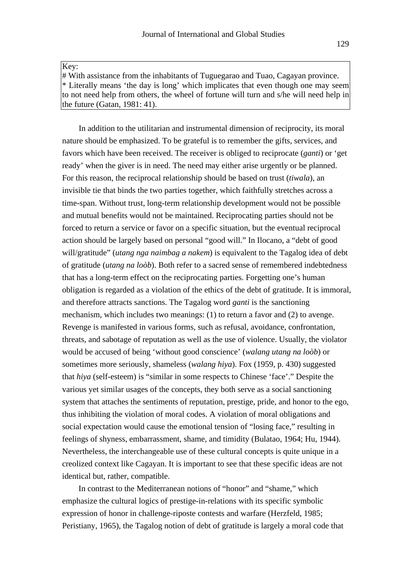Key:

# With assistance from the inhabitants of Tuguegarao and Tuao, Cagayan province. \* Literally means 'the day is long' which implicates that even though one may seem to not need help from others, the wheel of fortune will turn and s/he will need help in the future (Gatan, 1981: 41).

In addition to the utilitarian and instrumental dimension of reciprocity, its moral nature should be emphasized. To be grateful is to remember the gifts, services, and favors which have been received. The receiver is obliged to reciprocate (*ganti*) or 'get ready' when the giver is in need. The need may either arise urgently or be planned. For this reason, the reciprocal relationship should be based on trust (*tiwala*), an invisible tie that binds the two parties together, which faithfully stretches across a time-span. Without trust, long-term relationship development would not be possible and mutual benefits would not be maintained. Reciprocating parties should not be forced to return a service or favor on a specific situation, but the eventual reciprocal action should be largely based on personal "good will." In Ilocano, a "debt of good will/gratitude" (*utang nga naimbag a nakem*) is equivalent to the Tagalog idea of debt of gratitude (*utang na loòb*). Both refer to a sacred sense of remembered indebtedness that has a long-term effect on the reciprocating parties. Forgetting one's human obligation is regarded as a violation of the ethics of the debt of gratitude. It is immoral, and therefore attracts sanctions. The Tagalog word *ganti* is the sanctioning mechanism, which includes two meanings: (1) to return a favor and (2) to avenge. Revenge is manifested in various forms, such as refusal, avoidance, confrontation, threats, and sabotage of reputation as well as the use of violence. Usually, the violator would be accused of being 'without good conscience' (*walang utang na loòb*) or sometimes more seriously, shameless (*walang hiya*). Fox (1959, p. 430) suggested that *hiya* (self-esteem) is "similar in some respects to Chinese 'face'." Despite the various yet similar usages of the concepts, they both serve as a social sanctioning system that attaches the sentiments of reputation, prestige, pride, and honor to the ego, thus inhibiting the violation of moral codes. A violation of moral obligations and social expectation would cause the emotional tension of "losing face," resulting in feelings of shyness, embarrassment, shame, and timidity (Bulatao, 1964; Hu, 1944). Nevertheless, the interchangeable use of these cultural concepts is quite unique in a creolized context like Cagayan. It is important to see that these specific ideas are not identical but, rather, compatible.

In contrast to the Mediterranean notions of "honor" and "shame," which emphasize the cultural logics of prestige-in-relations with its specific symbolic expression of honor in challenge-riposte contests and warfare (Herzfeld, 1985; Peristiany, 1965), the Tagalog notion of debt of gratitude is largely a moral code that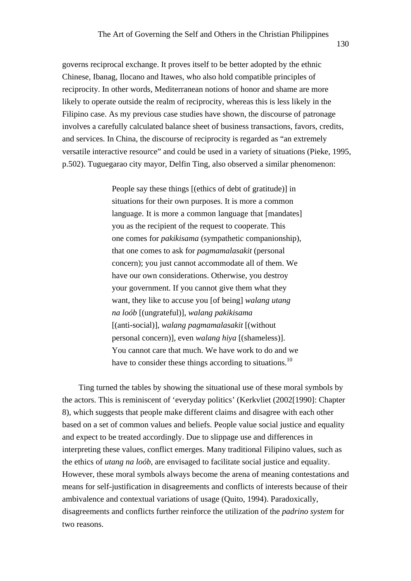governs reciprocal exchange. It proves itself to be better adopted by the ethnic Chinese, Ibanag, Ilocano and Itawes, who also hold compatible principles of reciprocity. In other words, Mediterranean notions of honor and shame are more likely to operate outside the realm of reciprocity, whereas this is less likely in the Filipino case. As my previous case studies have shown, the discourse of patronage involves a carefully calculated balance sheet of business transactions, favors, credits, and services. In China, the discourse of reciprocity is regarded as "an extremely versatile interactive resource" and could be used in a variety of situations (Pieke, 1995, p.502). Tuguegarao city mayor, Delfin Ting, also observed a similar phenomenon:

> People say these things [(ethics of debt of gratitude)] in situations for their own purposes. It is more a common language. It is more a common language that [mandates] you as the recipient of the request to cooperate. This one comes for *pakikisama* (sympathetic companionship), that one comes to ask for *pagmamalasakit* (personal concern); you just cannot accommodate all of them. We have our own considerations. Otherwise, you destroy your government. If you cannot give them what they want, they like to accuse you [of being] *walang utang na loób* [(ungrateful)], *walang pakikisama* [(anti-social)], *walang pagmamalasakit* [(without personal concern)], even *walang hiya* [(shameless)]. You cannot care that much. We have work to do and we have to consider these things according to situations.<sup>10</sup>

Ting turned the tables by showing the situational use of these moral symbols by the actors. This is reminiscent of 'everyday politics' (Kerkvliet (2002[1990]: Chapter 8), which suggests that people make different claims and disagree with each other based on a set of common values and beliefs. People value social justice and equality and expect to be treated accordingly. Due to slippage use and differences in interpreting these values, conflict emerges. Many traditional Filipino values, such as the ethics of *utang na loób*, are envisaged to facilitate social justice and equality. However, these moral symbols always become the arena of meaning contestations and means for self-justification in disagreements and conflicts of interests because of their ambivalence and contextual variations of usage (Quito, 1994). Paradoxically, disagreements and conflicts further reinforce the utilization of the *padrino system* for two reasons.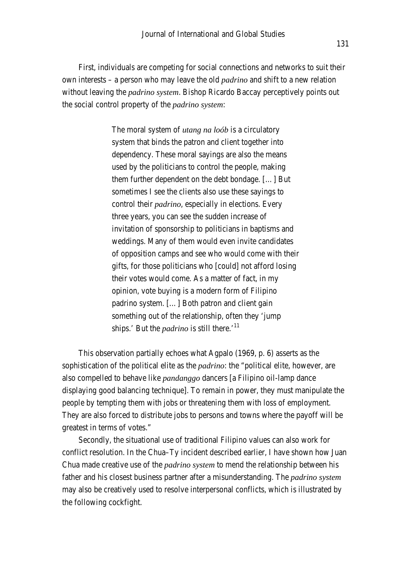First, individuals are competing for social connections and networks to suit their own interests – a person who may leave the old *padrino* and shift to a new relation without leaving the *padrino system*. Bishop Ricardo Baccay perceptively points out the social control property of the *padrino system*:

> The moral system of *utang na loób* is a circulatory system that binds the patron and client together into dependency. These moral sayings are also the means used by the politicians to control the people, making them further dependent on the debt bondage. […] But sometimes I see the clients also use these sayings to control their *padrino*, especially in elections. Every three years, you can see the sudden increase of invitation of sponsorship to politicians in baptisms and weddings. Many of them would even invite candidates of opposition camps and see who would come with their gifts, for those politicians who [could] not afford losing their votes would come. As a matter of fact, in my opinion, vote buying is a modern form of Filipino padrino system. […] Both patron and client gain something out of the relationship, often they 'jump ships.' But the *padrino* is still there.'<sup>11</sup>

This observation partially echoes what Agpalo (1969, p. 6) asserts as the sophistication of the political elite as the *padrino*: the "political elite, however, are also compelled to behave like *pandanggo* dancers [a Filipino oil-lamp dance displaying good balancing technique]. To remain in power, they must manipulate the people by tempting them with jobs or threatening them with loss of employment. They are also forced to distribute jobs to persons and towns where the payoff will be greatest in terms of votes."

Secondly, the situational use of traditional Filipino values can also work for conflict resolution. In the Chua–Ty incident described earlier, I have shown how Juan Chua made creative use of the *padrino system* to mend the relationship between his father and his closest business partner after a misunderstanding. The *padrino system*  may also be creatively used to resolve interpersonal conflicts, which is illustrated by the following cockfight.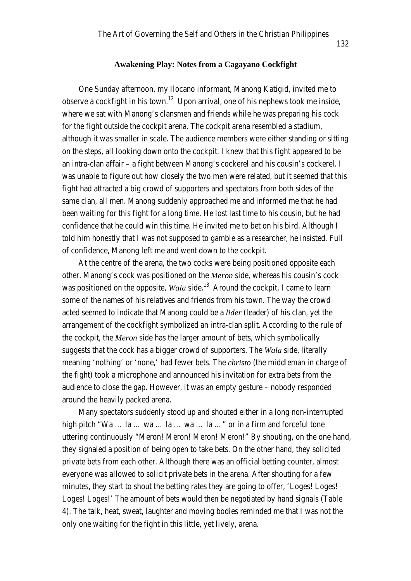One Sunday afternoon, my Ilocano informant, Manong Katigid, invited me to observe a cockfight in his town.<sup>12</sup> Upon arrival, one of his nephews took me inside, where we sat with Manong's clansmen and friends while he was preparing his cock for the fight outside the cockpit arena. The cockpit arena resembled a stadium, although it was smaller in scale. The audience members were either standing or sitting on the steps, all looking down onto the cockpit. I knew that this fight appeared to be an intra-clan affair – a fight between Manong's cockerel and his cousin's cockerel. I was unable to figure out how closely the two men were related, but it seemed that this fight had attracted a big crowd of supporters and spectators from both sides of the same clan, all men. Manong suddenly approached me and informed me that he had been waiting for this fight for a long time. He lost last time to his cousin, but he had confidence that he could win this time. He invited me to bet on his bird. Although I told him honestly that I was not supposed to gamble as a researcher, he insisted. Full of confidence, Manong left me and went down to the cockpit.

At the centre of the arena, the two cocks were being positioned opposite each other. Manong's cock was positioned on the *Meron* side, whereas his cousin's cock was positioned on the opposite, *Wala* side.<sup>13</sup> Around the cockpit, I came to learn some of the names of his relatives and friends from his town. The way the crowd acted seemed to indicate that Manong could be a *lider* (leader) of his clan, yet the arrangement of the cockfight symbolized an intra-clan split. According to the rule of the cockpit, the *Meron* side has the larger amount of bets, which symbolically suggests that the cock has a bigger crowd of supporters. The *Wala* side, literally meaning 'nothing' or 'none,' had fewer bets. The *christo* (the middleman in charge of the fight) took a microphone and announced his invitation for extra bets from the audience to close the gap. However, it was an empty gesture – nobody responded around the heavily packed arena.

Many spectators suddenly stood up and shouted either in a long non-interrupted high pitch "Wa ... la ... wa ... la ... wa ... la ..." or in a firm and forceful tone uttering continuously "Meron! Meron! Meron! Meron!" By shouting, on the one hand, they signaled a position of being open to take bets. On the other hand, they solicited private bets from each other. Although there was an official betting counter, almost everyone was allowed to solicit private bets in the arena. After shouting for a few minutes, they start to shout the betting rates they are going to offer, 'Loges! Loges! Loges! Loges!' The amount of bets would then be negotiated by hand signals (Table 4). The talk, heat, sweat, laughter and moving bodies reminded me that I was not the only one waiting for the fight in this little, yet lively, arena.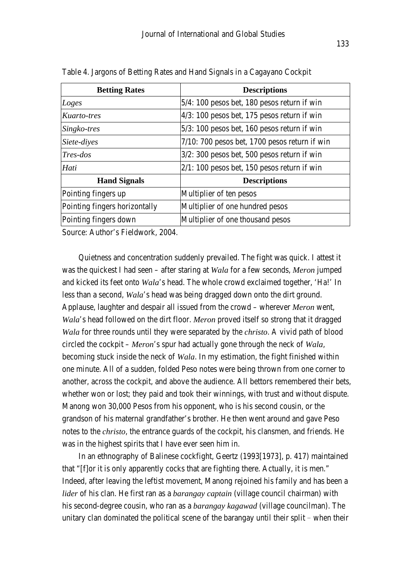| <b>Betting Rates</b>          | <b>Descriptions</b>                              |  |  |
|-------------------------------|--------------------------------------------------|--|--|
| Loges                         | $5/4$ : 100 pesos bet, 180 pesos return if win   |  |  |
| Kuarto-tres                   | $4/3$ : 100 pesos bet, 175 pesos return if win   |  |  |
| Singko-tres                   | $5/3$ : 100 pesos bet, 160 pesos return if win   |  |  |
| Siete-diyes                   | $7/10$ : 700 pesos bet, 1700 pesos return if win |  |  |
| $Tres-dos$                    | $3/2$ : 300 pesos bet, 500 pesos return if win   |  |  |
| Hati                          | $2/1: 100$ pesos bet, 150 pesos return if win    |  |  |
| <b>Hand Signals</b>           | <b>Descriptions</b>                              |  |  |
| Pointing fingers up           | Multiplier of ten pesos                          |  |  |
| Pointing fingers horizontally | Multiplier of one hundred pesos                  |  |  |
| Pointing fingers down         | Multiplier of one thousand pesos                 |  |  |

Table 4. Jargons of Betting Rates and Hand Signals in a Cagayano Cockpit

Source: Author's Fieldwork, 2004.

Quietness and concentration suddenly prevailed. The fight was quick. I attest it was the quickest I had seen – after staring at *Wala* for a few seconds, *Meron* jumped and kicked its feet onto *Wala*'s head. The whole crowd exclaimed together, 'Ha!' In less than a second, *Wala*'s head was being dragged down onto the dirt ground. Applause, laughter and despair all issued from the crowd – wherever *Meron* went, *Wala*'s head followed on the dirt floor. *Meron* proved itself so strong that it dragged *Wala* for three rounds until they were separated by the *christo*. A vivid path of blood circled the cockpit – *Meron*'s spur had actually gone through the neck of *Wala*, becoming stuck inside the neck of *Wala*. In my estimation, the fight finished within one minute. All of a sudden, folded Peso notes were being thrown from one corner to another, across the cockpit, and above the audience. All bettors remembered their bets, whether won or lost; they paid and took their winnings, with trust and without dispute. Manong won 30,000 Pesos from his opponent, who is his second cousin, or the grandson of his maternal grandfather's brother. He then went around and gave Peso notes to the *christo*, the entrance guards of the cockpit, his clansmen, and friends. He was in the highest spirits that I have ever seen him in.

In an ethnography of Balinese cockfight, Geertz (1993[1973], p. 417) maintained that "[f]or it is only apparently cocks that are fighting there. Actually, it is men." Indeed, after leaving the leftist movement, Manong rejoined his family and has been a *lider* of his clan. He first ran as a *barangay captain* (village council chairman) with his second-degree cousin, who ran as a *barangay kagawad* (village councilman). The unitary clan dominated the political scene of the barangay until their split – when their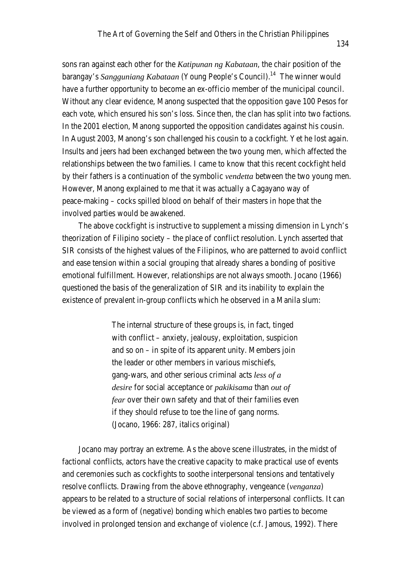sons ran against each other for the *Katipunan ng Kabataan*, the chair position of the barangay's *Sangguniang Kabataan* (Young People's Council).<sup>14</sup> The winner would have a further opportunity to become an ex-officio member of the municipal council. Without any clear evidence, Manong suspected that the opposition gave 100 Pesos for each vote, which ensured his son's loss. Since then, the clan has split into two factions. In the 2001 election, Manong supported the opposition candidates against his cousin. In August 2003, Manong's son challenged his cousin to a cockfight. Yet he lost again. Insults and jeers had been exchanged between the two young men, which affected the relationships between the two families. I came to know that this recent cockfight held by their fathers is a continuation of the symbolic *vendetta* between the two young men. However, Manong explained to me that it was actually a Cagayano way of peace-making – cocks spilled blood on behalf of their masters in hope that the involved parties would be awakened.

The above cockfight is instructive to supplement a missing dimension in Lynch's theorization of Filipino society – the place of conflict resolution. Lynch asserted that SIR consists of the highest values of the Filipinos, who are patterned to avoid conflict and ease tension within a social grouping that already shares a bonding of positive emotional fulfillment. However, relationships are not always smooth. Jocano (1966) questioned the basis of the generalization of SIR and its inability to explain the existence of prevalent in-group conflicts which he observed in a Manila slum:

> The internal structure of these groups is, in fact, tinged with conflict – anxiety, jealousy, exploitation, suspicion and so on – in spite of its apparent unity. Members join the leader or other members in various mischiefs, gang-wars, and other serious criminal acts *less of a desire* for social acceptance or *pakikisama* than *out of fear* over their own safety and that of their families even if they should refuse to toe the line of gang norms. (Jocano, 1966: 287, italics original)

Jocano may portray an extreme. As the above scene illustrates, in the midst of factional conflicts, actors have the creative capacity to make practical use of events and ceremonies such as cockfights to soothe interpersonal tensions and tentatively resolve conflicts. Drawing from the above ethnography, vengeance (*venganza*) appears to be related to a structure of social relations of interpersonal conflicts. It can be viewed as a form of (negative) bonding which enables two parties to become involved in prolonged tension and exchange of violence (c.f. Jamous, 1992). There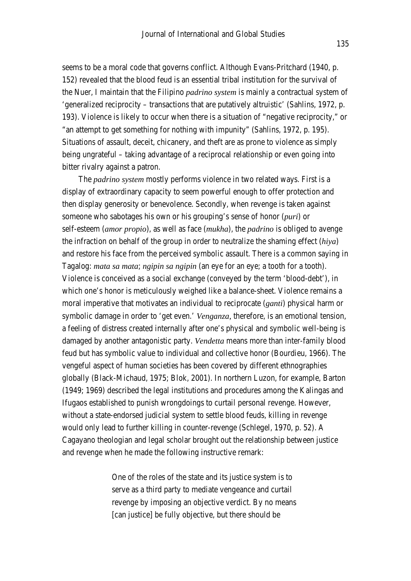seems to be a moral code that governs conflict. Although Evans-Pritchard (1940, p. 152) revealed that the blood feud is an essential tribal institution for the survival of the Nuer, I maintain that the Filipino *padrino system* is mainly a contractual system of 'generalized reciprocity – transactions that are putatively altruistic' (Sahlins, 1972, p. 193). Violence is likely to occur when there is a situation of "negative reciprocity," or "an attempt to get something for nothing with impunity" (Sahlins, 1972, p. 195). Situations of assault, deceit, chicanery, and theft are as prone to violence as simply being ungrateful – taking advantage of a reciprocal relationship or even going into bitter rivalry against a patron.

The *padrino system* mostly performs violence in two related ways. First is a display of extraordinary capacity to seem powerful enough to offer protection and then display generosity or benevolence. Secondly, when revenge is taken against someone who sabotages his own or his grouping's sense of honor (*puri*) or self-esteem (*amor propio*), as well as face (*mukha*), the *padrino* is obliged to avenge the infraction on behalf of the group in order to neutralize the shaming effect (*hiya*) and restore his face from the perceived symbolic assault. There is a common saying in Tagalog: *mata sa mata*; *ngipin sa ngipin* (an eye for an eye; a tooth for a tooth). Violence is conceived as a social exchange (conveyed by the term 'blood-debt'), in which one's honor is meticulously weighed like a balance-sheet. Violence remains a moral imperative that motivates an individual to reciprocate (*ganti*) physical harm or symbolic damage in order to 'get even.' *Venganza,* therefore, is an emotional tension, a feeling of distress created internally after one's physical and symbolic well-being is damaged by another antagonistic party. *Vendetta* means more than inter-family blood feud but has symbolic value to individual and collective honor (Bourdieu, 1966). The vengeful aspect of human societies has been covered by different ethnographies globally (Black-Michaud, 1975; Blok, 2001). In northern Luzon, for example, Barton (1949; 1969) described the legal institutions and procedures among the Kalingas and Ifugaos established to punish wrongdoings to curtail personal revenge. However, without a state-endorsed judicial system to settle blood feuds, killing in revenge would only lead to further killing in counter-revenge (Schlegel, 1970, p. 52). A Cagayano theologian and legal scholar brought out the relationship between justice and revenge when he made the following instructive remark:

> One of the roles of the state and its justice system is to serve as a third party to mediate vengeance and curtail revenge by imposing an objective verdict. By no means [can justice] be fully objective, but there should be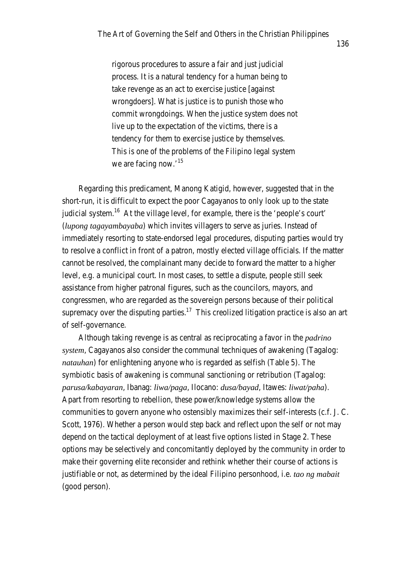rigorous procedures to assure a fair and just judicial process. It is a natural tendency for a human being to take revenge as an act to exercise justice [against wrongdoers]. What is justice is to punish those who commit wrongdoings. When the justice system does not live up to the expectation of the victims, there is a tendency for them to exercise justice by themselves. This is one of the problems of the Filipino legal system we are facing now.'<sup>15</sup>

Regarding this predicament, Manong Katigid, however, suggested that in the short-run, it is difficult to expect the poor Cagayanos to only look up to the state judicial system.<sup>16</sup> At the village level, for example, there is the 'people's court' (*lupong tagayambayaba*) which invites villagers to serve as juries. Instead of immediately resorting to state-endorsed legal procedures, disputing parties would try to resolve a conflict in front of a patron, mostly elected village officials. If the matter cannot be resolved, the complainant many decide to forward the matter to a higher level, e.g. a municipal court. In most cases, to settle a dispute, people still seek assistance from higher patronal figures, such as the councilors, mayors, and congressmen, who are regarded as the sovereign persons because of their political supremacy over the disputing parties.<sup>17</sup> This creolized litigation practice is also an art of self-governance.

Although taking revenge is as central as reciprocating a favor in the *padrino system*, Cagayanos also consider the communal techniques of awakening (Tagalog: *natauhan*) for enlightening anyone who is regarded as selfish (Table 5). The symbiotic basis of awakening is communal sanctioning or retribution (Tagalog: *parusa/kabayaran*, Ibanag: *liwa/paga*, Ilocano: *dusa/bayad*, Itawes: *liwat/paha*). Apart from resorting to rebellion, these power/knowledge systems allow the communities to govern anyone who ostensibly maximizes their self-interests (c.f. J. C. Scott, 1976). Whether a person would step back and reflect upon the self or not may depend on the tactical deployment of at least five options listed in Stage 2. These options may be selectively and concomitantly deployed by the community in order to make their governing elite reconsider and rethink whether their course of actions is justifiable or not, as determined by the ideal Filipino personhood, i.e. *tao ng mabait*  (good person).

136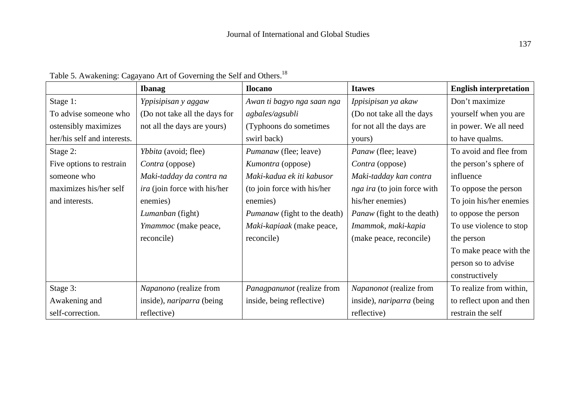|                             | <b>Ibanag</b>                       | <b>Ilocano</b>                      | <b>Itawes</b>                     | <b>English interpretation</b> |
|-----------------------------|-------------------------------------|-------------------------------------|-----------------------------------|-------------------------------|
| Stage 1:                    | Yppisipisan y aggaw                 | Awan ti bagyo nga saan nga          | Ippisipisan ya akaw               | Don't maximize                |
| To advise someone who       | (Do not take all the days for       | agbales/agsubli                     | (Do not take all the days         | yourself when you are         |
| ostensibly maximizes        | not all the days are yours)         | (Typhoons do sometimes              | for not all the days are          | in power. We all need         |
| her/his self and interests. |                                     | swirl back)                         | yours)                            | to have qualms.               |
| Stage 2:                    | Ybbita (avoid; flee)                | Pumanaw (flee; leave)               | Panaw (flee; leave)               | To avoid and flee from        |
| Five options to restrain    | Contra (oppose)                     | Kumontra (oppose)                   | Contra (oppose)                   | the person's sphere of        |
| someone who                 | Maki-tadday da contra na            | Maki-kadua ek iti kabusor           | Maki-tadday kan contra            | influence                     |
| maximizes his/her self      | <i>ira</i> (join force with his/her | (to join force with his/her         | nga ira (to join force with       | To oppose the person          |
| and interests.              | enemies)                            | enemies)                            | his/her enemies)                  | To join his/her enemies       |
|                             | Lumanban (fight)                    | <i>Pumanaw</i> (fight to the death) | <i>Panaw</i> (fight to the death) | to oppose the person          |
|                             | Ymammoc (make peace,                | Maki-kapiaak (make peace,           | Imammok, maki-kapia               | To use violence to stop       |
|                             | reconcile)                          | reconcile)                          | (make peace, reconcile)           | the person                    |
|                             |                                     |                                     |                                   | To make peace with the        |
|                             |                                     |                                     |                                   | person so to advise           |
|                             |                                     |                                     |                                   | constructively                |
| Stage 3:                    | Napanono (realize from              | Panagpanunot (realize from          | Napanonot (realize from           | To realize from within,       |
| Awakening and               | inside), nariparra (being           | inside, being reflective)           | inside), <i>nariparra</i> (being  | to reflect upon and then      |
| self-correction.            | reflective)                         |                                     | reflective)                       | restrain the self             |

Table 5. Awakening: Cagayano Art of Governing the Self and Others.<sup>18</sup>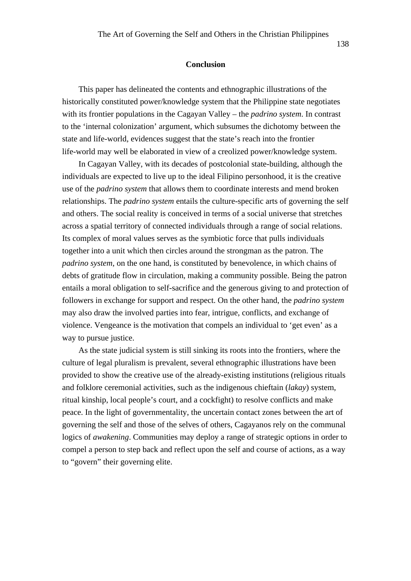#### **Conclusion**

This paper has delineated the contents and ethnographic illustrations of the historically constituted power/knowledge system that the Philippine state negotiates with its frontier populations in the Cagayan Valley – the *padrino system*. In contrast to the 'internal colonization' argument, which subsumes the dichotomy between the state and life-world, evidences suggest that the state's reach into the frontier life-world may well be elaborated in view of a creolized power/knowledge system.

In Cagayan Valley, with its decades of postcolonial state-building, although the individuals are expected to live up to the ideal Filipino personhood, it is the creative use of the *padrino system* that allows them to coordinate interests and mend broken relationships. The *padrino system* entails the culture-specific arts of governing the self and others. The social reality is conceived in terms of a social universe that stretches across a spatial territory of connected individuals through a range of social relations. Its complex of moral values serves as the symbiotic force that pulls individuals together into a unit which then circles around the strongman as the patron. The *padrino system*, on the one hand, is constituted by benevolence, in which chains of debts of gratitude flow in circulation, making a community possible. Being the patron entails a moral obligation to self-sacrifice and the generous giving to and protection of followers in exchange for support and respect. On the other hand, the *padrino system* may also draw the involved parties into fear, intrigue, conflicts, and exchange of violence. Vengeance is the motivation that compels an individual to 'get even' as a way to pursue justice.

As the state judicial system is still sinking its roots into the frontiers, where the culture of legal pluralism is prevalent, several ethnographic illustrations have been provided to show the creative use of the already-existing institutions (religious rituals and folklore ceremonial activities, such as the indigenous chieftain (*lakay*) system, ritual kinship, local people's court, and a cockfight) to resolve conflicts and make peace. In the light of governmentality, the uncertain contact zones between the art of governing the self and those of the selves of others, Cagayanos rely on the communal logics of *awakening*. Communities may deploy a range of strategic options in order to compel a person to step back and reflect upon the self and course of actions, as a way to "govern" their governing elite.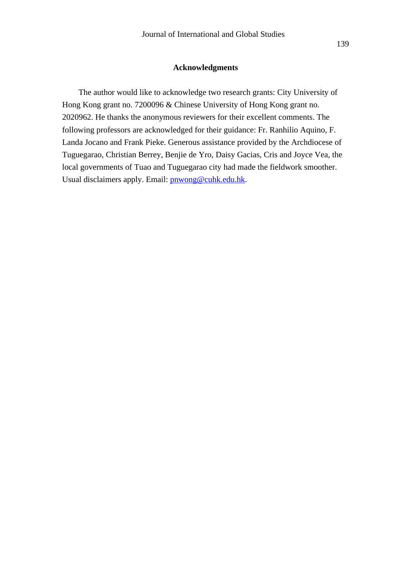#### **Acknowledgments**

The author would like to acknowledge two research grants: City University of Hong Kong grant no. 7200096 & Chinese University of Hong Kong grant no. 2020962. He thanks the anonymous reviewers for their excellent comments. The following professors are acknowledged for their guidance: Fr. Ranhilio Aquino, F. Landa Jocano and Frank Pieke. Generous assistance provided by the Archdiocese of Tuguegarao, Christian Berrey, Benjie de Yro, Daisy Gacias, Cris and Joyce Vea, the local governments of Tuao and Tuguegarao city had made the fieldwork smoother. Usual disclaimers apply. Email: pnwong@cuhk.edu.hk.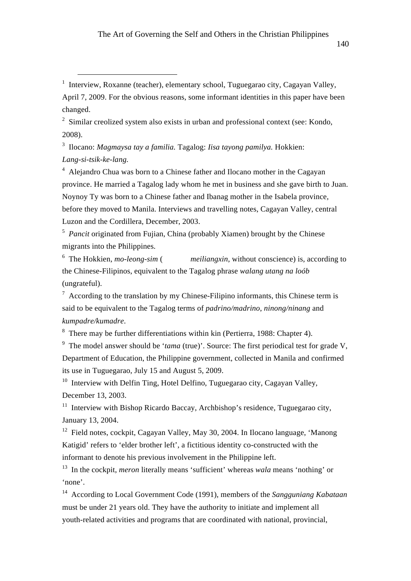1 Interview, Roxanne (teacher), elementary school, Tuguegarao city, Cagayan Valley, April 7, 2009. For the obvious reasons, some informant identities in this paper have been changed.

 $2 \sin(\theta)$  Similar creolized system also exists in urban and professional context (see: Kondo, 2008).

3 Ilocano: *Magmaysa tay a familia.* Tagalog: *Iisa tayong pamilya.* Hokkien: *Lang-si-tsik-ke-lang.*

<sup>4</sup> Alejandro Chua was born to a Chinese father and Ilocano mother in the Cagayan province. He married a Tagalog lady whom he met in business and she gave birth to Juan. Noynoy Ty was born to a Chinese father and Ibanag mother in the Isabela province, before they moved to Manila. Interviews and travelling notes, Cagayan Valley, central Luzon and the Cordillera, December, 2003.

<sup>5</sup> *Pancit* originated from Fujian, China (probably Xiamen) brought by the Chinese migrants into the Philippines.

 $6$  The Hokkien, *mo-leong-sim* ( *meiliangxin*, without conscience) is, according to the Chinese-Filipinos, equivalent to the Tagalog phrase *walang utang na loób* (ungrateful).

 $7$  According to the translation by my Chinese-Filipino informants, this Chinese term is said to be equivalent to the Tagalog terms of *padrino/madrino*, *ninong/ninang* and *kumpadre/kumadre*.

<sup>8</sup> There may be further differentiations within kin (Pertierra, 1988: Chapter 4).

<sup>9</sup> The model answer should be '*tama* (true)'. Source: The first periodical test for grade V, Department of Education, the Philippine government, collected in Manila and confirmed its use in Tuguegarao, July 15 and August 5, 2009.

<sup>10</sup> Interview with Delfin Ting, Hotel Delfino, Tuguegarao city, Cagayan Valley, December 13, 2003.

 $11$  Interview with Bishop Ricardo Baccay, Archbishop's residence, Tuguegarao city, January 13, 2004.

12 Field notes, cockpit, Cagayan Valley, May 30, 2004. In Ilocano language, 'Manong Katigid' refers to 'elder brother left', a fictitious identity co-constructed with the informant to denote his previous involvement in the Philippine left.

13 In the cockpit, *meron* literally means 'sufficient' whereas *wala* means 'nothing' or 'none'.

14 According to Local Government Code (1991), members of the *Sangguniang Kabataan* must be under 21 years old. They have the authority to initiate and implement all youth-related activities and programs that are coordinated with national, provincial,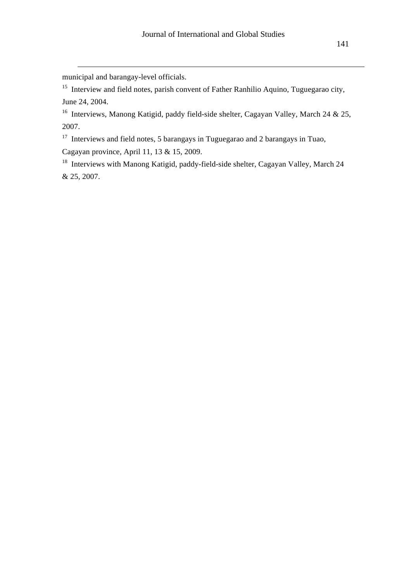municipal and barangay-level officials.

 $\overline{a}$ 

<sup>15</sup> Interview and field notes, parish convent of Father Ranhilio Aquino, Tuguegarao city, June 24, 2004.

<sup>16</sup> Interviews, Manong Katigid, paddy field-side shelter, Cagayan Valley, March 24 & 25, 2007.

<sup>17</sup> Interviews and field notes, 5 barangays in Tuguegarao and 2 barangays in Tuao, Cagayan province, April 11, 13 & 15, 2009.

<sup>18</sup> Interviews with Manong Katigid, paddy-field-side shelter, Cagayan Valley, March 24 & 25, 2007.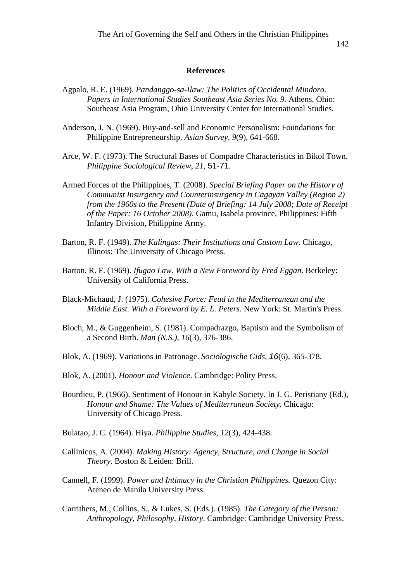#### **References**

- Agpalo, R. E. (1969). *Pandanggo-sa-Ilaw: The Politics of Occidental Mindoro. Papers in International Studies Southeast Asia Series No. 9.* Athens, Ohio: Southeast Asia Program, Ohio University Center for International Studies.
- Anderson, J. N. (1969). Buy-and-sell and Economic Personalism: Foundations for Philippine Entrepreneurship. *Asian Survey, 9*(9), 641-668.
- Arce, W. F. (1973). The Structural Bases of Compadre Characteristics in Bikol Town. *Philippine Sociological Review*, *21*, 51-71.
- Armed Forces of the Philippines, T. (2008). *Special Briefing Paper on the History of Communist Insurgency and Counterinsurgency in Cagayan Valley (Region 2) from the 1960s to the Present (Date of Briefing: 14 July 2008; Date of Receipt of the Paper: 16 October 2008)*. Gamu, Isabela province, Philippines: Fifth Infantry Division, Philippine Army.
- Barton, R. F. (1949). *The Kalingas: Their Institutions and Custom Law*. Chicago, Illinois: The University of Chicago Press.
- Barton, R. F. (1969). *Ifugao Law. With a New Foreword by Fred Eggan*. Berkeley: University of California Press.
- Black-Michaud, J. (1975). *Cohesive Force: Feud in the Mediterranean and the Middle East. With a Foreword by E. L. Peters.* New York: St. Martin's Press.
- Bloch, M., & Guggenheim, S. (1981). Compadrazgo, Baptism and the Symbolism of a Second Birth. *Man (N.S.)*, *16*(3), 376-386.
- Blok, A. (1969). Variations in Patronage. *Sociologische Gids*, *16*(6), 365-378.
- Blok, A. (2001). *Honour and Violence*. Cambridge: Polity Press.
- Bourdieu, P. (1966). Sentiment of Honour in Kabyle Society. In J. G. Peristiany (Ed.), *Honour and Shame: The Values of Mediterranean Society*. Chicago: University of Chicago Press.
- Bulatao, J. C. (1964). Hiya. *Philippine Studies, 12*(3), 424-438.
- Callinicos, A. (2004). *Making History: Agency, Structure, and Change in Social Theory*. Boston & Leiden: Brill.
- Cannell, F. (1999). *Power and Intimacy in the Christian Philippines.* Quezon City: Ateneo de Manila University Press.
- Carrithers, M., Collins, S., & Lukes, S. (Eds.). (1985). *The Category of the Person: Anthropology, Philosophy, History*. Cambridge: Cambridge University Press.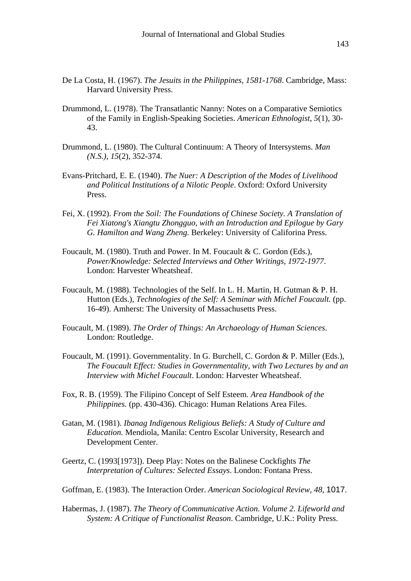- De La Costa, H. (1967). *The Jesuits in the Philippines*, *1581-1768*. Cambridge, Mass: Harvard University Press.
- Drummond, L. (1978). The Transatlantic Nanny: Notes on a Comparative Semiotics of the Family in English-Speaking Societies. *American Ethnologist*, *5*(1), 30- 43.
- Drummond, L. (1980). The Cultural Continuum: A Theory of Intersystems. *Man (N.S.)*, *15*(2), 352-374.
- Evans-Pritchard, E. E. (1940). *The Nuer: A Description of the Modes of Livelihood and Political Institutions of a Nilotic People*. Oxford: Oxford University Press.
- Fei, X. (1992). *From the Soil: The Foundations of Chinese Society. A Translation of Fei Xiatong's Xiangtu Zhongguo, with an Introduction and Epilogue by Gary G. Hamilton and Wang Zheng.* Berkeley: University of Califorina Press.
- Foucault, M. (1980). Truth and Power. In M. Foucault & C. Gordon (Eds.), *Power/Knowledge: Selected Interviews and Other Writings*, *1972-1977*. London: Harvester Wheatsheaf.
- Foucault, M. (1988). Technologies of the Self. In L. H. Martin, H. Gutman & P. H. Hutton (Eds.), *Technologies of the Self: A Seminar with Michel Foucault.* (pp. 16-49). Amherst: The University of Massachusetts Press.
- Foucault, M. (1989). *The Order of Things: An Archaeology of Human Sciences*. London: Routledge.
- Foucault, M. (1991). Governmentality. In G. Burchell, C. Gordon & P. Miller (Eds.), *The Foucault Effect: Studies in Governmentality, with Two Lectures by and an Interview with Michel Foucault*. London: Harvester Wheatsheaf.
- Fox, R. B. (1959). The Filipino Concept of Self Esteem. *Area Handbook of the Philippines.* (pp. 430-436). Chicago: Human Relations Area Files.
- Gatan, M. (1981). *Ibanag Indigenous Religious Beliefs: A Study of Culture and Education.* Mendiola, Manila: Centro Escolar University, Research and Development Center.
- Geertz, C. (1993[1973]). Deep Play: Notes on the Balinese Cockfights *The Interpretation of Cultures: Selected Essays*. London: Fontana Press.
- Goffman, E. (1983). The Interaction Order. *American Sociological Review, 48*, 1017.
- Habermas, J. (1987). *The Theory of Communicative Action. Volume 2. Lifeworld and System: A Critique of Functionalist Reason*. Cambridge, U.K.: Polity Press.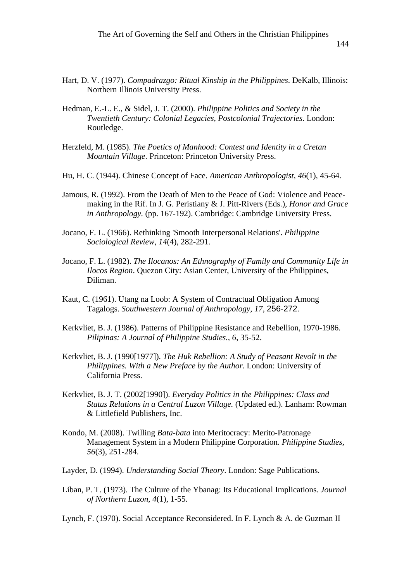The Art of Governing the Self and Others in the Christian Philippines

- Hart, D. V. (1977). *Compadrazgo: Ritual Kinship in the Philippines*. DeKalb, Illinois: Northern Illinois University Press.
- Hedman, E.-L. E., & Sidel, J. T. (2000). *Philippine Politics and Society in the Twentieth Century: Colonial Legacies, Postcolonial Trajectories*. London: Routledge.
- Herzfeld, M. (1985). *The Poetics of Manhood: Contest and Identity in a Cretan Mountain Village*. Princeton: Princeton University Press.
- Hu, H. C. (1944). Chinese Concept of Face. *American Anthropologist*, *46*(1), 45-64.
- Jamous, R. (1992). From the Death of Men to the Peace of God: Violence and Peacemaking in the Rif. In J. G. Peristiany & J. Pitt-Rivers (Eds.), *Honor and Grace in Anthropology.* (pp. 167-192). Cambridge: Cambridge University Press.
- Jocano, F. L. (1966). Rethinking 'Smooth Interpersonal Relations'. *Philippine Sociological Review*, *14*(4), 282-291.
- Jocano, F. L. (1982). *The Ilocanos: An Ethnography of Family and Community Life in Ilocos Region*. Quezon City: Asian Center, University of the Philippines, Diliman.
- Kaut, C. (1961). Utang na Loob: A System of Contractual Obligation Among Tagalogs. *Southwestern Journal of Anthropology*, *17*, 256-272.
- Kerkvliet, B. J. (1986). Patterns of Philippine Resistance and Rebellion, 1970-1986. *Pilipinas: A Journal of Philippine Studies., 6*, 35-52.
- Kerkvliet, B. J. (1990[1977]). *The Huk Rebellion: A Study of Peasant Revolt in the Philippines. With a New Preface by the Author.* London: University of California Press.
- Kerkvliet, B. J. T. (2002[1990]). *Everyday Politics in the Philippines: Class and Status Relations in a Central Luzon Village.* (Updated ed.). Lanham: Rowman & Littlefield Publishers, Inc.
- Kondo, M. (2008). Twilling *Bata-bata* into Meritocracy: Merito-Patronage Management System in a Modern Philippine Corporation. *Philippine Studies, 56*(3), 251-284.
- Layder, D. (1994). *Understanding Social Theory*. London: Sage Publications.
- Liban, P. T. (1973). The Culture of the Ybanag: Its Educational Implications. *Journal of Northern Luzon*, *4*(1), 1-55.

Lynch, F. (1970). Social Acceptance Reconsidered. In F. Lynch & A. de Guzman II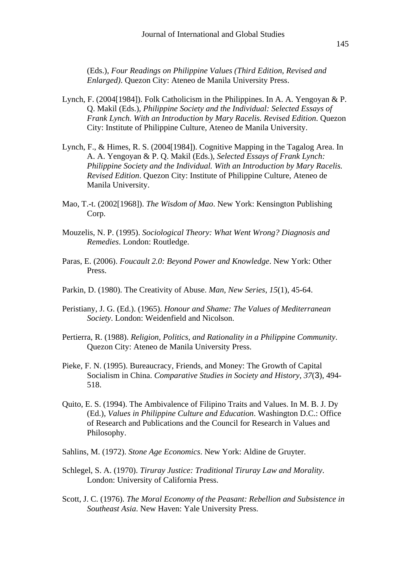(Eds.), *Four Readings on Philippine Values (Third Edition, Revised and Enlarged)*. Quezon City: Ateneo de Manila University Press.

- Lynch, F. (2004[1984]). Folk Catholicism in the Philippines. In A. A. Yengoyan & P. Q. Makil (Eds.), *Philippine Society and the Individual: Selected Essays of Frank Lynch. With an Introduction by Mary Racelis. Revised Edition*. Quezon City: Institute of Philippine Culture, Ateneo de Manila University.
- Lynch, F., & Himes, R. S. (2004[1984]). Cognitive Mapping in the Tagalog Area. In A. A. Yengoyan & P. Q. Makil (Eds.), *Selected Essays of Frank Lynch: Philippine Society and the Individual. With an Introduction by Mary Racelis. Revised Edition*. Quezon City: Institute of Philippine Culture, Ateneo de Manila University.
- Mao, T.-t. (2002[1968]). *The Wisdom of Mao*. New York: Kensington Publishing Corp.
- Mouzelis, N. P. (1995). *Sociological Theory: What Went Wrong? Diagnosis and Remedies*. London: Routledge.
- Paras, E. (2006). *Foucault 2.0: Beyond Power and Knowledge*. New York: Other Press.
- Parkin, D. (1980). The Creativity of Abuse. *Man, New Series*, *15*(1), 45-64.
- Peristiany, J. G. (Ed.). (1965). *Honour and Shame: The Values of Mediterranean Society*. London: Weidenfield and Nicolson.
- Pertierra, R. (1988). *Religion, Politics, and Rationality in a Philippine Community*. Quezon City: Ateneo de Manila University Press.
- Pieke, F. N. (1995). Bureaucracy, Friends, and Money: The Growth of Capital Socialism in China. *Comparative Studies in Society and History*, *37*(3), 494- 518.
- Quito, E. S. (1994). The Ambivalence of Filipino Traits and Values. In M. B. J. Dy (Ed.), *Values in Philippine Culture and Education*. Washington D.C.: Office of Research and Publications and the Council for Research in Values and Philosophy.
- Sahlins, M. (1972). *Stone Age Economics*. New York: Aldine de Gruyter.
- Schlegel, S. A. (1970). *Tiruray Justice: Traditional Tiruray Law and Morality*. London: University of California Press.
- Scott, J. C. (1976). *The Moral Economy of the Peasant: Rebellion and Subsistence in Southeast Asia*. New Haven: Yale University Press.